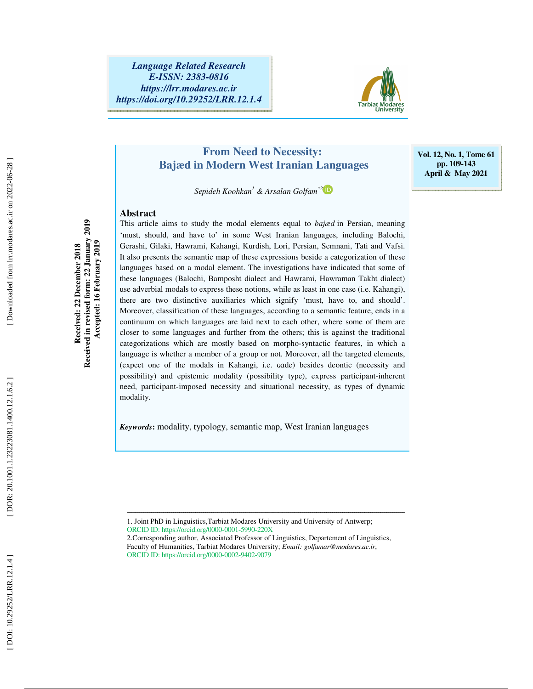

**Vol. 12, No. 1, Tome 61 pp. 109-143 April & May 2021** 

## **From Need to Necessity: Bajæd in Modern West Iranian Languages**

 *Sepideh Koohkan 1 & Arsalan Golfam\*2*

#### **Abstract**

This article aims to study the modal elements equal to *b* ɑ*jæd* in Persian, meaning 'must, should, and have to' in some West Iranian languages, including Balochi, Gerashi, Gilaki, Hawrami, Kahangi, Kurdish, Lori, Persian, Semnani, Tati and Vafsi. It also presents the semantic map of these expressions beside a categorization of these languages based on a modal element. The investigations have indicated that some of these languages (Balochi, Bamposht dialect and Hawrami, Hawraman Takht dialect) use adverbial modals to express these notions, while as least in one case (i.e. Kahangi), there are two distinctive auxiliaries which signify 'must, have to, and should'. Moreover, classification of these languages, according to a semantic feature, ends in a continuum on which languages are laid next to each other, where some of them are closer to some languages and further from the others; this is against the traditional categorizations which are mostly based on morpho-syntactic features, in which a language is whether a member of a group or not. Moreover, all the targeted elements, (expect one of the modals in Kahangi, i.e. ɢɑde) besides deontic (necessity and possibility) and epistemic modality (possibility type), express participant-inherent need, participant-imposed necessity and situational necessity, as types of dynamic modality.

*Keywords* **:** modality, typology, semantic map, West Iranian languages

1. Joint PhD in Linguistics,Tarbiat Modares University and University of Antwerp; ORCID ID: https://orcid.org/0000-0001-5990-220X

ــــــــــــــــــــــــــــــــــــــــــــــــــــــــــــــــــــــــــــــــــــــــــــــــــــــــــــــــــــــــــــــــــــــــــ

Received in revised form: 22 January 2019 **Received in revised form: 22 January 2019 Accepted: 16 February 2019**  Accepted: 16 February 2019 **Received: 22 December 2018**  Received: 22 December 2018

Downloaded from lrr.modares.ac.ir on 2022-06-28

<sup>2.</sup>Corresponding author, Associated Professor of Linguistics, Departement of Linguistics, Faculty of Humanities, Tarbiat Modares University; *Email: golfamar@modares.ac.ir*, ORCID ID: https://orcid.org/0000-0002-9402-9079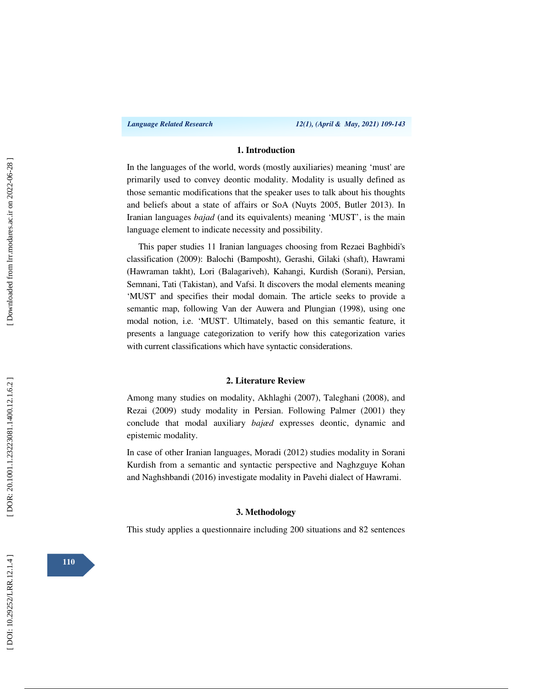#### **1. Introduction**

In the languages of the world, words (mostly auxiliaries) meaning 'must' are primarily used to convey deontic modality. Modality is usually defined as those semantic modifications that the speaker uses to talk about his thoughts and beliefs about a state of affairs or SoA (Nuyts 2005, Butler 2013). In Iranian languages *bajad* (and its equivalents) meaning 'MUST', is the main language element to indicate necessity and possibility.

This paper studies 11 Iranian languages choosing from Rezaei Baghbidi's classification (2009): Balochi (Bamposht), Gerashi, Gilaki (shaft), Hawrami (Hawraman takht), Lori (Balagariveh), Kahangi, Kurdish (Sorani), Persian, Semnani, Tati (Takistan), and Vafsi. It discovers the modal elements meaning 'MUST' and specifies their modal domain. The article seeks to provide a semantic map, following Van der Auwera and Plungian (1998), using one modal notion, i.e. 'MUST'. Ultimately, based on this semantic feature, it presents a language categorization to verify how this categorization varies with current classifications which have syntactic considerations.

#### **2. Literature Review**

Among many studies on modality, Akhlaghi (2007), Taleghani (2008), and Rezai (2009) study modality in Persian. Following Palmer (2001) they conclude that modal auxiliary *bajæd* expresses deontic, dynamic and epistemic modality.

In case of other Iranian languages, Moradi (2012) studies modality in Sorani Kurdish from a semantic and syntactic perspective and Naghzguye Kohan and Naghshbandi (2016) investigate modality in Pavehi dialect of Hawrami.

#### **3. Methodology**

This study applies a questionnaire including 200 situations and 82 sentences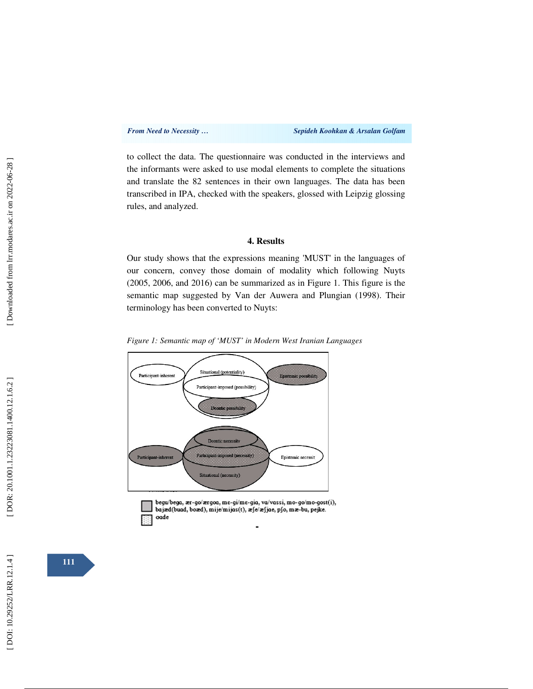to collect the data. The questionnaire was conducted in the interviews and the informants were asked to use modal elements to complete the situations and translate the 82 sentences in their own languages. The data has been transcribed in IPA, checked with the speakers, glossed with Leipzig glossing rules, and analyzed.

#### **4. Results**

Our study shows that the expressions meaning 'MUST' in the languages of our concern, convey those domain of modality which following Nuyts (2005, 2006, and 2016) can be summarized as in Figure 1. This figure is the semantic map suggested by Van der Auwera and Plungian (1998). Their terminology has been converted to Nuyts:

*Figure 1: Semantic map of 'MUST' in Modern West Iranian Languages* 





.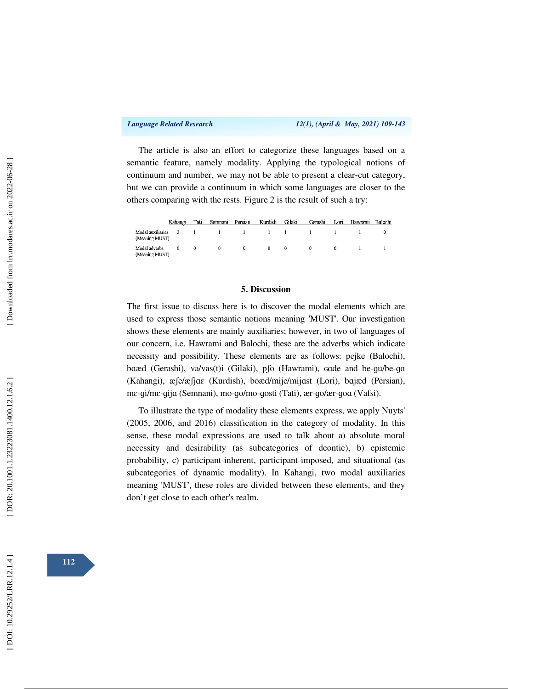The article is also an effort to categorize these languages based on a semantic feature, namely modality. Applying the typological notions of continuum and number, we may not be able to present a clear-cut category, but we can provide a continuum in which some languages are closer to the others comparing with the rests. Figure 2 is the result of such a try:

|                                    | Kahangi  | Tati   | Semnani  | Persian  | Kurdish                             | Gilaki   | Gerashi      | Lori            | Hawrami Balochi |  |
|------------------------------------|----------|--------|----------|----------|-------------------------------------|----------|--------------|-----------------|-----------------|--|
| Modal auxiliaries<br>Meaning MUST) | $\sim$ 2 |        |          |          | $1 \quad 1 \quad 1 \quad 1 \quad 1$ |          | $\mathbf{1}$ | $\sim$ 1 $\sim$ |                 |  |
| Modal adverbs<br>Meaning MUST)     | $^{0}$   | $^{0}$ | $\Omega$ | $\Omega$ | $^{\circ}$                          | $\Omega$ | $^{\circ}$   | $^{0}$          |                 |  |

#### **5. Discussion**

The first issue to discuss here is to discover the modal elements which are used to express those semantic notions meaning 'MUST'. Our investigation shows these elements are mainly auxiliaries; however, in two of languages of our concern, i.e. Hawrami and Balochi, these are the adverbs which indicate necessity and possibility. These elements are as follows: pejke (Balochi), baæd (Gerashi), va/vas(t)i (Gilaki), p $\beta$  (Hawrami), cade and be-gu/be-gu (Kahangi), æʃe/æʃjɑɛ (Kurdish), boæd/mije/mij ɑst (Lori), b ɑjæd (Persian), me-gi/me-gija (Semnani), mo-go/mo-gosti (Tati), ær-go/ær-goa (Vafsi).

To illustrate the type of modality these elements express, we apply Nuyts' (2005, 2006, and 2016) classification in the category of modality. In this sense, these modal expressions are used to talk about a) absolute moral necessity and desirability (as subcategories of deontic), b) epistemic probability, c) participant-inherent, participant-imposed, and situational (as subcategories of dynamic modality). In Kahangi, two modal auxiliaries meaning 'MUST', these roles are divided between these elements, and they don't get close to each other's realm.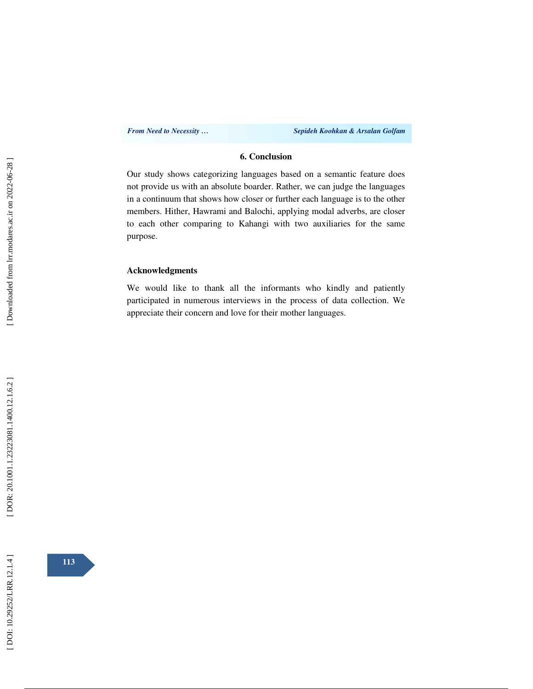### **6. Conclusion**

Our study shows categorizing languages based on a semantic feature does not provide us with an absolute boarder. Rather, we can judge the languages in a continuum that shows how closer or further each language is to the other members. Hither, Hawrami and Balochi, applying modal adverbs, are closer to each other comparing to Kahangi with two auxiliaries for the same purpose.

#### **Acknowledgments**

We would like to thank all the informants who kindly and patiently participated in numerous interviews in the process of data collection. We appreciate their concern and love for their mother languages.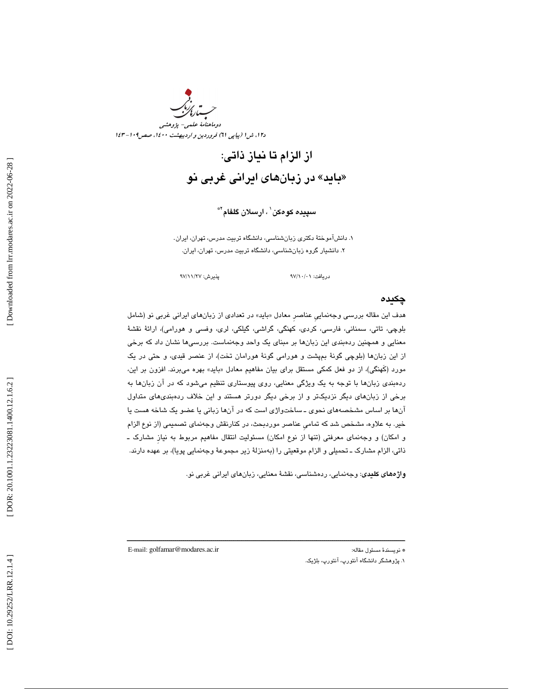

از الزام تا نياز ذاتي: بايد» در زبانهاي ايراني غربي نو »

س**پیده کوهکن` ، ارسلان گلفام**™

 . دانشآموختة دكتري زبانشناسي، دانشگاه تربيت مدرس، تهران، ايران. 1 . دانشيار گروه زبانشناسي، دانشگاه تربيت مدرس، تهران، ايران. 2

97 /11 97 پذيرش: /27

دريافت: 01/ /10

### چكيده

هدف اين مقاله بررسي وجهنمايي عناصر معادل «بايد» در تعدادي از زبانهاي ايراني غربي نو (شامل بلوچي، تاتي، سمناني، فارسي، كردي، كهنگي، گراشي، گيلكي، لري، وفسي و هورامي)، ارائة نقشة معنايي و همچنين ردهبندي اين زبانها بر مبناي يك واحد وجهنماست. بررسيها نشان داد كه برخي از اين زبانها (بلوچي گونة بمپشت و هورامي گونة هورامان تخت)، از عنصر قيدي، و حتي در يك مورد (كهنگي)، از دو فعل كمكي مستقل براي بيان مفاهيم معادل «بايد» بهره مي $برند. افزون بر اين،$  ردهبندي زبانها با توجه به يك ويژگي معنايي، روي پيوستاري تنظيم ميشود كه در آن زبانها به برخي از زبانهاي ديگر نزديكتر و از برخي ديگر دورتر هستند و اين خلاف ردهبنديهاي متداول آنها بر اساس مشخصههاي نحوي ـ ساختواژي است كه در آنها زباني يا عضو يك شاخه هست يا خير. به علاوه، مشخص شد كه تماميِ عناصر موردبحث، در كنارنقش وجهنماي تصميمي (از نوع الزام و امكان) و وجهنماي معرفتي (تنها از نوع امكان) مسئوليت انتقال مفاهيم مربوط به نيازِ مشارك ـ ذاتی، الزام مشارک ــ تحمیلی و الزام موقعیتی را (بهمنزلهٔ زیر مجموعهٔ وجهنمایی پویا)، بر عهده دارند.

ــــــــــــــــــــــــــــــــــــــــــــــــــــــــــــــــــــــــــــــــــــــــــــــــــــــــــــــــــــــــــــــــــــــــــ

واژههاي كليدي: وجهنمايي، ردهشناسي، نقشة معنايي، زبانهاي ايراني غربي نو.

\* نويسندهٔ مسئول مقاله:<br>۱. پژوهشگر دانشگاه آنتورپ، آنتورپ، بلژيک. \* نويسندهٔ مسئول مقاله آنتورپ، بلژيک.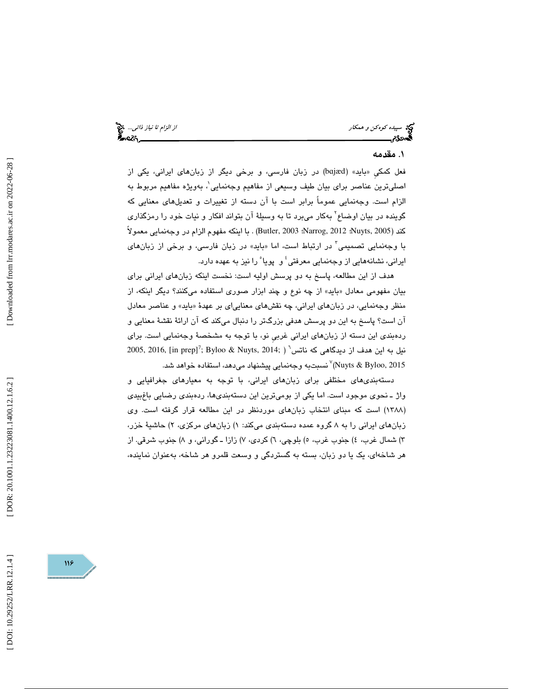سپيده كوهكن و همكار از الزام تا نياز ذاتي... چيچ آن اسپيده كوهكن و همكار از الزام تا نياز ذاتي... چيچ آن بين ا<br>اگسجدگام اسپيدا از الزام تا نياز داني... از اسپيدا از الزام تا نياز ذاتي... از الزام تا نياز ذاتي... از الزام

## ۱. مقدمه

فعل كمكي «بايد» (bajæd) در زبان فارسي، و برخي ديگر از زبانهاي ايراني، يكي از اصليترين عناصر براي بيان طيف وسيعي از مفاهيم وجهنمايي 1 ، بهويژه مفاهيم مربوط به الزام است. وجهنمايي عموماً برابر است با آن دسته از تغييرات و تعديلهاي معنايي كه گوینده در بیان اوضاع<sup>۲</sup> بهکار میبرد تا به وسیلهٔ آن بتواند افکار و نیات خود را رمزگذاری كند (2005 ,Nuyts؛ 2012 ,Narrog؛ 2003 ,Butler (. با اينكه مفهوم الزام در وجهنمايي معمولاً با وجهنمايي تصميمي<sup>"</sup> در ارتباط است، اما «بايد» در زبان فارسي، و برخی از زبانهای ايراني، نشانههايي از وجهنمايي معرفتي 4 و پويا 5 را نيز به عهده دارد.

هدف از اين مطالعه، پاسخ به دو پرسش اوليه است: نخست اينكه زبانهاي ايراني براي بیان مفهومی معادل «باید» از چه نوع و چند ابزار صوری استفاده میکنند؟ دیگر اینکه، از منظر وجهنمايي، در زبانهاي ايراني، چه نقشهاي معنايي|ى بر عهدهٔ «بايد» و عناصر معادل آن است؟ پاسخ به اين دو پرسش هدفي بزرگتر را دنبال ميكند كه آن ارائهٔ نقشهٔ معنايي و ردهبندي اين دسته از زبانهاي ايراني غربيِ نو، با توجه به مشخصة وجهنمايي است. براي  $2005,\,2016,\,$  [in prep] $^7;\,{\rm By}$ loo & Nuyts,  $2014;\,$  ماتس $^5$  ( این هدف از دیدگاهی که ناتس (Nuyts & Byloo, 2015 7 نسبتبه وجهنمايي پيشنهاد ميدهد، استفاده خواهد شد.

دستهبنديهاي مختلفي براي زبانهاي ايراني، با توجه به معيارهاي جغرافيايي و واژ ـ نحوي موجود است. اما يكي از بوميترين اين دستهبنديها، ردهبندي رضايي باغبيدي (۱۳۸۸) است كه مبناى انتخاب زبانِهاى موردنظر در اين مطالعه قرار گرفته است. وى زبانهای ایرانی را به ۸ گروه عمده دستهبندی میکند: ۱) زبانهای مرکزی، ۲) حاشیهٔ خزر، ٣) شمال غرب، ٤) جنوب غرب، ٥) بلوچي، ٦) كردي، ٧) زازا ــ گوراني، و ٨) جنوب شرقي. از هر شاخهاي، يك يا دو زبان، بسته به گستردگي و وسعت قلمرو هر شاخه، بهعنوان نماينده،

[Downloaded from lrr.modares.ac.ir on 2022-06-28]

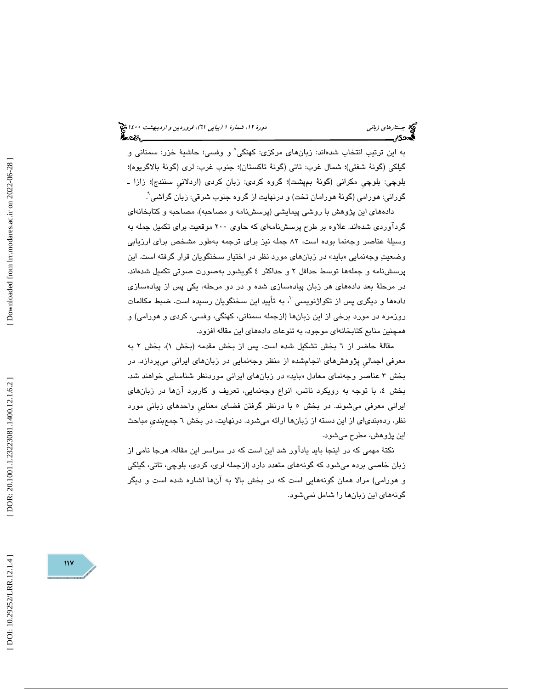به اين ترتيب انتخاب شدهاند: زبانهاي مركزي: كهنگي 8 و وفسي؛ حاشية خزر: سمناني و گيلكي (گونة شفتي)؛ شمال غرب: تاتي (گونة تاكستان)؛ جنوب غرب: لري (گونة بالاگريوه)؛ بلوچي: بلوچيِ مكراني (گونة بمپشت)؛ گروه كردي: زبانِ كردي (اردلانيِ سنندج)؛ زازا ـ گورانی: هورامی (گونهٔ هورامان تخت) و درنهايت از گروه جنوب شرقی: زبان گراشی ْ.

 دادههاي اين پژوهش با روشي پيمايشي (پرسشنامه و مصاحبه)، مصاحبه و كتابخانهاي گردآوردي شدهاند. علاوه بر طرح پرسشنامهاي كه حاوي 200 موقعيت براي تكميل جمله به وسيلة عناصر وجهنما بوده است، 82 جمله نيز براي ترجمه بهطور مشخص براي ارزيابي وضعيتِ وجهنمايي «بايد» در زبانهاي مورد نظر در اختيار سخنگويان قرار گرفته است. اين پرسشنامه و جملهها توسط حداقل 2 و حداكثر 4 گويشور بهصورت صوتي تكميل شدهاند. در مرحلة بعد دادههاي هر زبان پيادهسازي شده و در دو مرحله، يكي پس از پيادهسازي دادهها و ديگری پس از تكواژنويسی ``، به تأييد اين سخنگويان رسيده است. ضبط مكالمات روزمره در مورد برخي از اين زبانها (ازجمله سمناني، كهنگي، وفسي، كردي و هورامي) و همچنين منابع كتابخانهاي موجود، به تنوعات دادههاي اين مقاله افزود.

مقالهٔ حاضر از ٦ بخش تشكيل شده است. پس از بخش مقدمه (بخش ١)، بخش ٢ به معرفي اجماليِ پژوهشهاي انجامشده از منظر وجهنمايي در زبانهاي ايراني ميپردازد. در بخش ۳ عناصر وجەنمای معادل «باید» در زبانهای ایرانی موردنظر شناسایی خواهند شد. بخش ٤، با توجه به رويكرد ناتس، انواع وجهنمايي، تعريف و كاربرد انها در زبانهاي ايراني معرفي ميشوند. در بخش 5 با درنظر گرفتن فضاي معناييِ واحدهاي زباني مورد نظر، ردهبندياي از اين دسته از زبانها ارائه ميشود. درنهايت، در بخش 6 جمعبنديِ مباحث اين پژوهش، مطرح ميشود.

نكتة مهمي كه در اينجا بايد يادآور شد اين است كه در سراسر اين مقاله، هرجا نامي از زبان خاصي برده ميشود كه گونههاي متعدد دارد (ازجمله لري، كردي، بلوچي، تاتي، گيلكي و هورامي) مراد همان گونههايي است كه در بخش بالا به آنها اشاره شده است و ديگر گونههاي اين زبانها را شامل نميشود.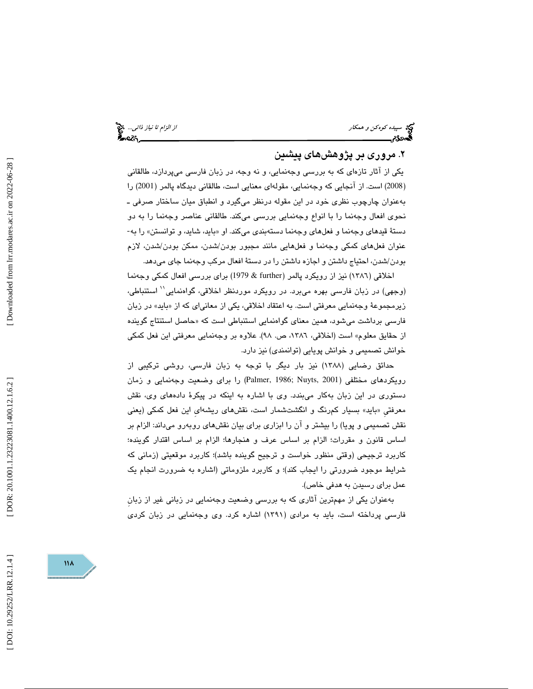سپيده كوهكن و همكار از الزام تا نياز ذاتي...

## ۲. مروری بر پژوهشهای پیشین

يكي از آثار تازهاي كه به بررسي وجهنمايي، و نه وجه، در زبان فارسي ميپردازد، طالقاني 2008) است. از آنجايي كه وجهنمايي، مقولهاي معنايي است، طالقاني ديدگاه پالمر (2001) را ) بهعنوان چارچوب نظري خود در اين مقوله درنظر ميگيرد و انطباق ميان ساختار صرفي ـ نحوی افعال وجهنما را با انواع وجهنمایی بررسی میكند. طالقانی عناصر وجهنما را به دو<br>دستهٔ قیدهای وجهنما و فعلهای وجهنما دستهبندی میكند. او «باید، شاید، و توانستن» را به-عنوان فعلهاي كمكي وجهنما و فعلهايي مانند مجبور بودن/شدن، ممكن بودن/شدن، لازم بودن/شدن، احتياج داشتن و اجازه داشتن را در دستة افعال مركب وجهنما جاي ميدهد.

اخلاقي (1386) نيز از رويكرد پالمر (further & 1979 (براي بررسي افعال كمكي وجهنما استنباطي، <sup>11</sup> (وجهي) در زبان فارسي بهره ميبرد. در رويكرد موردنظر اخلاقي، گواهنمايي زيرمجموعهٔ وجهنمايي معرفتي است. به اعتقاد اخلاقي، يكي از معانياي كه از «بايد» در زبان فارسی برداشت میشود، همین معنای گواهنمایی استنباطی است كه «حاصل استنتاج گوینده از حقايق معلوم» است (اخلاقي، ،1386 ص. 98). علاوه بر وجهنمايي معرفتي اين فعل كمكي خوانش تصميمي و خوانش پويايي (توانمندي) نيز دارد.

حدائق رضايي (١٣٨٨) نيز بار ديگر با توجه به زبان فارسی، روشی تركيبی از رويكردهاي مختلفي (2001 ,Palmer, 1986; Nuyts) را براي وضعيت وجهنمايي و زمان دستوري در اين زبان بهكار مي $\mu$ ندد. وي با اشاره به اينكه در پيكرهٔ دادههاي وي، نقش بايد» بسيار كمرنگ و انگشتشمار است، نقشهاي ريشهايِ اين فعل كمكي (يعني معرفتيِ « نقش تصميمي و پويا) را بيشتر و آن را ابزاري براي بيان نقشهاي روبهرو ميداند: الزام بر اساس قانون و مقررات؛ الزام بر اساس عرف و هنجارها؛ الزام بر اساس اقتدار گوينده؛ كاربرد ترجيحي (وقتي منظور خواست و ترجيح گوينده باشد)؛ كاربرد موقعيتي (زماني كه شرايط موجود ضرورتي را ايجاب كند)؛ و كاربرد ملزوماتي (اشاره به ضرورت انجام يك عمل براي رسيدن به هدفي خاص).

بهعنوان يكي از مهمترين آثاري كه به بررسي وضعيت وجهنمايي در زباني غير از زبانِ فارسي پرداخته است، بايد به مرادي (1391) اشاره كرد. وي وجهنمايي در زبان كردي

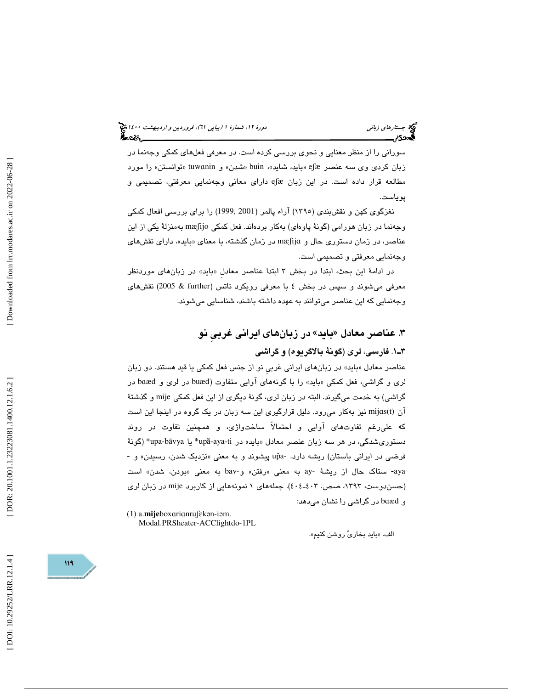سوراني را از منظر معنايي و نحوي بررسي كرده است. در معرفي فعلهاي كمكي وجهنما در زبان كردي وي سه عنصر eʃæ «بايد، شايد»، buin «شدن» و tuwɑnin «توانستن» را مورد مطالعه قرار داده است. در اين زبان eʃæ دارای معانی وجهنمايی معرفتی، تصميمی و پوياست.

نغزگوي كهن و نقشبندي (1395) آراء پالمر (2001 1999,) را براي بررسي افعال كمكي وجهنما در زبان هورامی (گونهٔ پاوهای) بهکار بردهاند. فعل كمكی mæʃijo بهمنزلهٔ یكی از این عناصر، در زمان دستوري حال و mæʃija در زمان گذشته، با معناي «بايد»، داراي نقشهاي وجهنمايي معرفتي و تصميمي است.

در ادامهٔ اين بحث، ابتدا در بخش ۳ ابتدا عناصر معادل «بايد» در زبانِهاي موردنظر معرفي ميشوند و سپس در بخش 4 با معرفي رويكرد ناتس (further & 2005 (نقشهاي وجهنمايي كه اين عناصر ميتوانند به عهده داشته باشند، شناسايي ميشوند.

# ۳. عناصر معادل «بايد» در زبانهای ايراني غربيِ نو 1ـ3 . فارسي، لري (گونة بالاگريوه) و گراشي

عناصر معادل «بايد» در زبانهای ايرانی غربی نو از جنس فعل كمكی يا قيد هستند. دو زبان لری و گراشی، فعل کمکی «باید» را با گونههای آوایی متفاوت (buæd در لری و baæd در گراشي) به خدمت ميگيرند. البته در زبان لري، گونة ديگري از اين فعل كمكي mije و گذشتة آن (mijas(t نيز بهکار مىرود. دليل قرارگيرى اين سه زبان در يک گروه در اينجا اين است كه عليرغم تفاوتهاي آوايي و احتمالاً ساختواژي، و همچنين تفاوت در روند دستوریشدگی، در هر سه زبان عنصر معادل «باید» در upă-aya-ti\* یا upa-bāvya\* (گونهٔ فرضی در ایرانی باستان) ریشه دارد. -up̃a پیشوند و به معنی «نزدیک شدن، رسیدن» و ay- ستاك حال از ريشة -ay به معنى «رفتن» و-bav به معنى «بودن، شدن» است (حسندوست، ۱۳۹۳، صص. ٤٠٤ـ٤٠٤). جملههای ۱ نمونههایی از کاربرد mije در زبان لری و baæd در گراش*ی* را نشان میدهد:

(1) a.mijeboxarianrufekan-iam. Modal.PRSheater-ACClightdo-1PL

الف. «بايد بخاريٌ روشن كنيم».

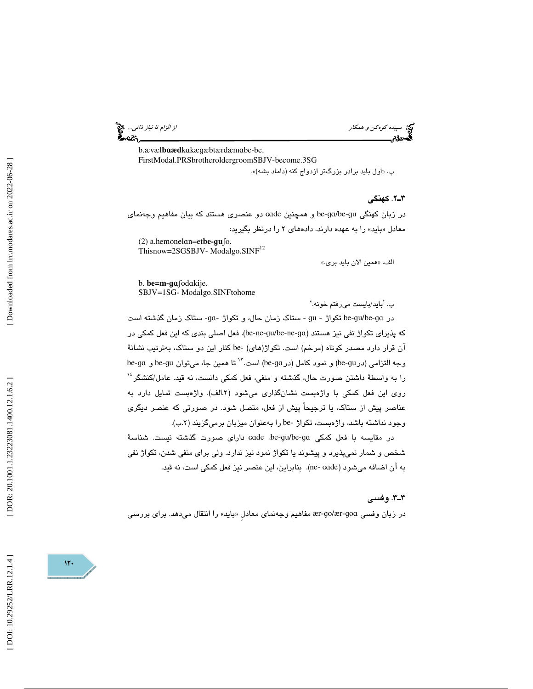سپيده كوهكن و همكار از الزام تا نياز ذاتي...

b.ævæl**baæd**kakægæbtærdæmabe-be. FirstModal.PRSbrotheroldergroomSBJV-become.3SG

«ب. اول بايد برادر بزرگتر ازدواج كنه (داماد بشه) ».

2ـ3 . كهنگي

در زبان كهنگي be-ga/be-gu و همچنين Gade دو عنصري هستند كه بيان مفاهيم وجهنماي معادل «بايد» را به عهده دارند. دادههای ۲ را درنظر بگيريد:

(2) a.hemonel ɑn=et**be-**ɡ **u**ʃo. This now=2SGSBJV-Modalgo.SINF<sup>12</sup>

الف. «همين الان بايد بري.»

b. **be=m-**ɡɑʃod ɑkije. SBJV=1SG- Modalgo.SINFtohome

'ب. بايد/بايست ميرفتم خونه. '

در be-gu/be-ga تكواژ - gu - ستاك زمان حال، و تكواژ -ga- ستاك زمان گذشته است كه پذيراي تكواژ نفي نيز هستند (ɡɑ-ne-be/ɡu-ne-be(. فعل اصلي بندي كه اين فعل كمكي در آن قرار دارد مصدر كوتاه (مرخم) است. تكواژ(هاي) -be كنار اين دو ستاك، بهترتيب نشانة وجه التزامی (در be-gu) و نمود کامل (در be-ga) است. ٌ`` تا همین جا، میتوان be-gu و be-ga  $^{16}$ را به واسطهٔ داشتن صورت حال، گذشته و منفی، فعل كمكی دانست، نه قید. عامل/كنشگر روی اين فعل كمكي با واژهبست نشانگذاری میشود (۲.الف). واژهبست تمايل دارد به عناصر پيش از ستاك، يا ترجيحاً پيش از فعل، متصل شود. در صورتي كه عنصر ديگري وجود نداشته باشد، واژهبست، تكواژ -be را بهعنوان ميزبان برميگزيند (٢.ب).

در مقايسه با فعل كمكى ade ،be-gu/be-ga داراى صورت گذشته نيست. شناسهٔ شخص و شمار نميپذيرد و پيشوند يا تكواژ نمود نيز ندارد. ولي براي منفي شدن، تكواژ نفي به آن اضافه ميشود (ɢɑde -ne(. بنابراين، اين عنصر نيز فعل كمكي است، نه قيد.

#### 3ـ3 . وفسي

در زبان وفسي ær-go/ær-goa مفاهيم وجهنماي معادل «بايد» را انتقال ميدهد. براي بررسي

 $11-$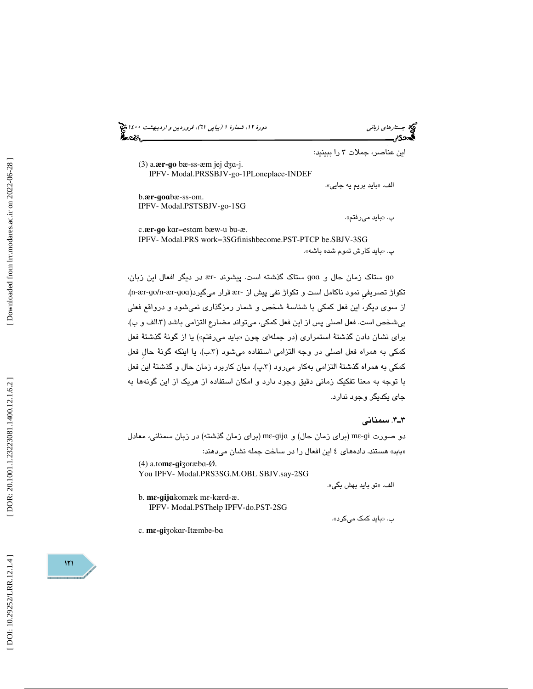(پياپي 61)، فروردين و ارديبهشت 1400 جستارهاي زباني دورة ،12 شمارة 1

(3) a.**ær-**ɡ **o** bæ-ss-æm jej dʒɑ-j. IPFV- Modal.PRSSBJV-go-1PLoneplace-INDEF

بايد بريم يه جايي ». الف. «

اين عناصر، جملات 3 را ببينيد:

b.**ær-**ɡ **o** ɑbæ-ss-om. IPFV- Modal.PSTSBJV-go-1SG

«ب. بايد ميرفتم ».

c -**ær-**ɡ **o** k ɑr=est ɑm bæw-u bu-æ- IPFV- Modal.PRS work=3SG finishbecome.PST-PTCP be.SBJV-3SG «پ. بايد كارش تموم شده باشه ».

go ستاک زمان حال و goa ستاک گذشته است. پیشوند -ær در دیگر افعال این زبان، .(n-ær-ɡo/n-ær-ɡ o تكواژ تصر يِفي نمود ناكامل است و تكواژ نفي پيش از -ær قرار ميگيرد(ɑ از سوي ديگر، اين فعل كمكي با شناسة شخص و شمار رمزگذاري نميشود و درواقع فعلي بيشخص است. فعل اصلي پس از اين فعل كمكي، ميتواند مضارع التزامي باشد (٣.الف و ب). برای نشان دادن گذشتهٔ استمراری (در جملهای چون «باید میرفتم») یا از گونهٔ گذشتهٔ فعل کمکی به همراه فعل اصلی در وجه التزامی استفاده میشود (۳.ب)، یا اینکه گونهٔ حال فعل كمكي به همراه گذشتهٔ التزامي بهكار ميرود (٣.پ). ميان كاربرد زمان حال و گذشتهٔ اين فعل با توجه به معنا تفكيك زماني دقيق وجود دارد و امكان استفاده از هريك از اين گونهها به جاي يكديگر وجود ندارد.

### 4ـ3 . سمناني

دو صورت mɛ-gi (برای زمان حال) و mɛ-gijɑ (برای زمان گذشته) در زبان سمنانی، معادل «باید» هستند. دادههای ٤ این افعال را در ساخت جمله نشان میدهند:

(4) a.to **m** ɛ **-** ɡ **i** ʒoræb ɑ-Ø- You IPFV- Modal.PRS3SG.M.OBL SBJV.say-2SG

تو بايد بهش بگي ». الف. «

b. **m** ɛ **-** ɡ**ij** ɑkomæk m ɛ-kærd-æ- IPFV- Modal.PSThelp IPFV-do.PST-2SG

ب. «بايد كمک مىكرد».

c. **m** ɛ **-** ɡ **i** ʒok ɑr-Itæmbe-b ɑ

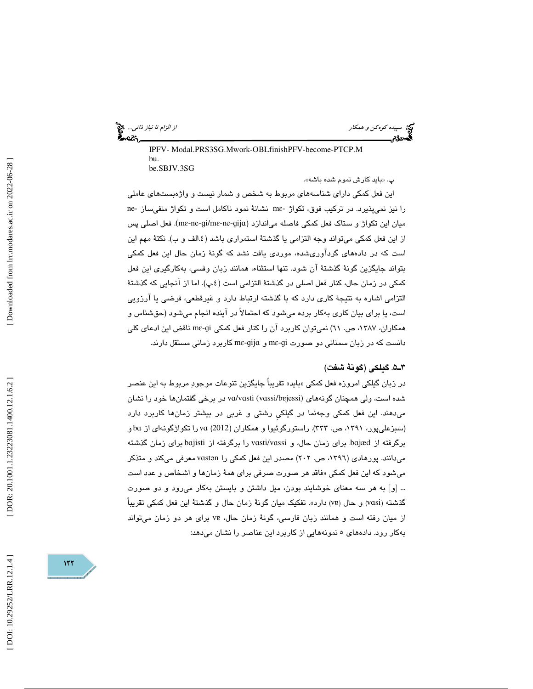سپيده كوهكن و همكار از الزام تا نياز ذاتي...

 IPFV- Modal.PRS3SG.Mwork-OBLfinishPFV-become-PTCP.M bu. be.SBJV.3SG

«پ. بايد كارش تموم شده باشه ».

اين فعل كمكي داراي شناسههاي مربوط به شخص و شمار نيست و واژهبستهاي عاملي را نیز نمیپذیرد. در ترکیب فوق، تکواژ -mε نشانهٔ نمود ناکامل است و تکواژ منفیساز -ne میان این تکواژ و ستاک فعل کمکی فاصله میاندازد (mɛ-ne-gi/mɛ-ne-gija). فعل اصلی پس از اين فعل كمكي ميتواند وجه التزامي يا گذشتهٔ استمراري باشد (٤.الف و ب). نكتهٔ مهم اين است كه در دادههاي گردآوريشده، موردي يافت نشد كه گونة زمان حال اين فعل كمكي بتواند جايگزين گونة گذشتة آن شود. تنها استثناء، همانند زبان وفسي، بهكارگيري اين فعل كمكي در زمان حال، كنار فعل اصلي در گذشتهٔ التزامي است (٤.پ). اما از انجايي كه گذشتهٔ التزامي اشاره به نتيجة كاري دارد كه با گذشته ارتباط دارد و غيرقطعي، فرضي يا آرزويي است، يا براي بيان كاري بهكار برده ميشود كه احتمالاً در آينده انجام ميشود (حقشناس و همکاران، ۱۳۸۷، ص. ٦١) نمیتوان کاربرد آن را کنار فعل کمکی mɛ-gi ناقض این ادعای کلی دانست كه در زبان سمنانی دو صورت mɛ-gijɑ و mɛ-gijɑ كاربرد زمانی مستقل دارند.

### 5ـ3 . گيلكي (گونة شفت)

در زبان گيلكي امروزه فعل كمكي «بايد» تقريباً جايگزين تنوعات موجودِ مربوط به اين عنصر شده است، ولی همچنان گونههای vɑ/vɑsti (vɑssi/bɐjessi) در برخی گفتمانها خود را نشان میدهند. این فعل کمکی وجهنما در گیلکی رشتی و غربی در بیشتر زمانها کاربرد دارد (سبزعلیپور، ۱۳۹۱، ص. ۳۳۳). راستورگوئیوا و همکاران (2012) va را تکواژگونهای از ba و برگرفته از bajæd برای زمان حال، و vasti/vassi را برگرفته از bajisti برای زمان گذشته میدانند. پورهادی (۱۳۹٦، ص. ۲۰۲) مصدر این فعل كمكی را vastən معرفی میكند و متذكر میشود كه این فعل كمكی «فاقد هر صورت صرفی برای همهٔ زمانها و اشخاص و عدد است ... [و] به هر سه معنای خوشایند بودن، میل داشتن و بایستن بهکار میرود و دو صورت گذشته (vasi) و حال (ve) دارد». تفكيک ميان گونهٔ زمان حال و گذشتهٔ اين فعل كمكي تقريباً ز میان رفته است و همانند زبان فارسی، گونهٔ زمان حال، vɐ برای هر دو زمان میتواند ا به كار رود. دادههاي 5 نمونههايي از كاربرد اين عناصر را نشان ميدهد:

Downloaded from lrr.modares.ac.ir on 2022-06-28

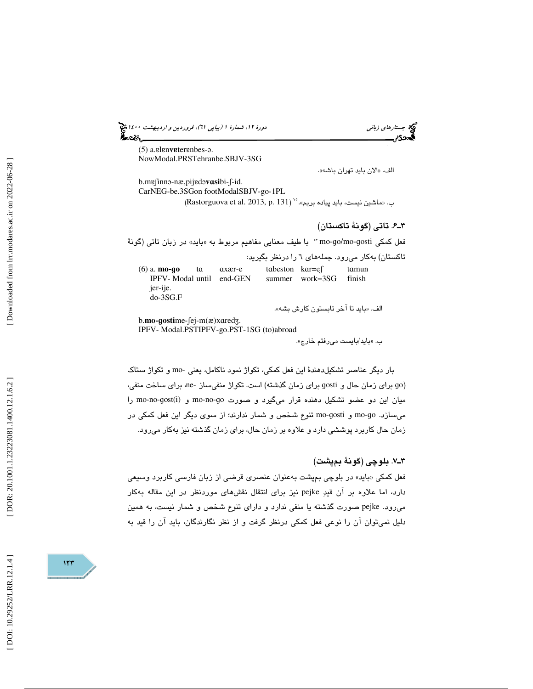(پياپي 61)، فروردين و ارديبهشت 1400 جستارهاي زباني دورة ،12 شمارة 1

(5) a. *el enveter enbes-a.* NowModal.PRSTehranbe.SBJV-3SG

الف. «الان بايد تهران باشه».

b.mɐʃinn ə-næ,pij ɐ d ə **v** ɑ**si**bi-ʃ-id. Car NEG-be.3SGon foot ModalSBJV-go-1PL ب. «ماشين نيست، بايد پياده بريم». `` (Rastorguova et al. 2013, p. 131)

### 6ـ3 . تاتي (گونة تاكستان)

فعل کمکی mo-go/mo-gosti '' با طیف معنایی مفاهیم مربوط به «باید» در زبان تاتی (گونهٔ تاكستان) به كار می رود. جملههای ٦ را درنظر بگیرید: (6) a. **mo-**ɡ**o**  t ɑ ɑxær-e t ɑbeston k ɑr=eʃ t tamun<br>finish IPFV- Modal until end-GEN summer work=3SG jer-ije. do-3SG.F بايد تا آخر تابستون كارش بشه». الف. « b.**mo-gosti**me-fej-m(æ)xaredz.

IPFV- Modal.PSTIPFV-go.PST-1SG (to)abroad

«ب. بايد/بايست ميرفتم خارج ».

بار ديگر عناصر تشكيلدهندة اين فعل كمكي، تكواژ نمود ناكامل، يعني -mo و تكواژ ستاك براي زمان گذشته) است. تكواژ منف يساز -ne، براي ساخت منفي، براي زمان حال و ɡosti ɡ o ) میان این دو عضو تشکیل دهنده قرار میگیرد و صورت mo-no-go و mo-no-gost(i) را میسازد. mo-gosti و mo-gosti تنوع شخص و شمار ندارند؛ از سوی دیگر این فعل کمکی در زمان حال كاربرد پوششي دارد و علاوه بر زمان حال، براي زمان گذشته نيز بهكار مي رود.

### 7ـ3 . بلوچي (گونة بمپشت)

فعل كمكي «بايد» در بلوچي بمپشت بهعنوان عنصری قرضی از زبان فارسی كاربرد وسیعی دارد، اما علاوه بر آن قيد pejke نيز براي انتقال نقشهاي موردنظر در اين مقاله بهكار ميرود. pejke صورت گذشته يا منفي ندارد و داراي تنوع شخص و شمار نيست، به همين دليل نميتوان آن را نوعي فعل كمكي درنظر گرفت و از نظر نگارندگان، بايد آن را قيد به

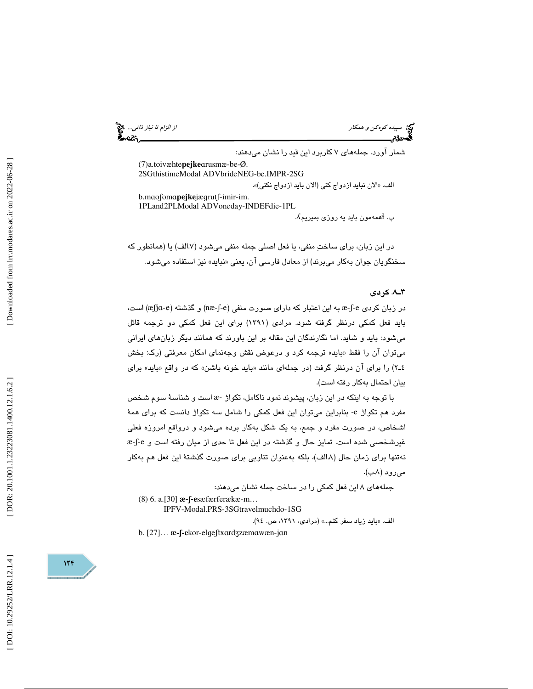سپيده كوهكن و همكار از اسپيده كوهكن و همكار از ارزام تا نياز ذاتي... چي:<br>از الزام تا نياز ذاتي...<br>الجمهوريم

شمار آورد. جملههای ۷ کاربرد این قید را نشان میدهند:

(7) a.toivæhte**pejke**  ɑrusmæ-be-Ø. 2SG thistimeModal ADVbrideNEG-be.IMPR-2SG الف. «الان نبايد ازدواج كني (الان بايد ازدواج نكني)». b.maofoma**pejke**jægrutf-imir-im.

1PLand 2PLModal ADVone day-INDEFdie-1PL

.  $\Lambda$ همهمون بايد يه روزى بميريم

در اين زبان، براي ساختِ منفي، يا فعل اصلي جمله منفي ميشود (١.٧لف) يا (همانطور كه سخنگويان جوان بهكار مىبرند) از معادل فارسى ان، يعنى «نبايد» نيز استفاده مىشود.

#### 8ـ3 . كردي

در زبان كردي e-∫-æ به اين اعتبار كه داراي صورت منفي (næ-∫-e) و گذشته (æ∫jɑ-e) است، بايد فعل كمكي درنظر گرفته شود. مرادي (1391) براي اين فعل كمكي دو ترجمه قائل ميشود: بايد و شايد. اما نگارندگان اين مقاله بر اين باورند كه همانند ديگر زبانهاي ايراني میتوان ان را فقط «باید» ترجمه کرد و درعوض نقش وجهنمای امکان معرفتی (رک: بخش ۲ـ٤) را براي ان درنظر گرفت (در جملهاي مانند «بايد خونه باشن» که در واقع «بايد» براي بيان احتمال بهكار رفته است).

با توجه به اينكه در اين زبان، پيشوند نمود ناكامل، تكواژ -æ است و شناسة سوم شخص مفرد هم تكواژ e- بنابراين ميتوان اين فعل كمكي را شامل سه تكواژ دانست كه براي همة اشخاص، در صورت مفرد و جمع، به يك شكل بهكار برده مي شود و درواقع امروزه فعلي غيرشخصي شده است. تمايز حال و گذشته در اين فعل تا حدي از ميان رفته است و e-ʃ-æ نهتنها برای زمان حال (۸الف)، بلكه بهعنوان تناوبی برای صورت گذشتهٔ این فعل هم بهكار میرود (۸.ب).

جملههاي 8 اين فعل كمكي را در ساخت جمله نشان ميدهند:

(8) 6. a.[30] **æ-**ʃ**-e**sæfærferækæ-m…

IPFV-Modal.PRS-3SGtravelmuchdo-1SG

الف. «بايد زياد سفر كنم...» (مرادى، ١٣٩١، ص. ٩٤).

b. [27]... **æ-ʃ-e**kor-elgeʃtxardʒzæmawæn-jan

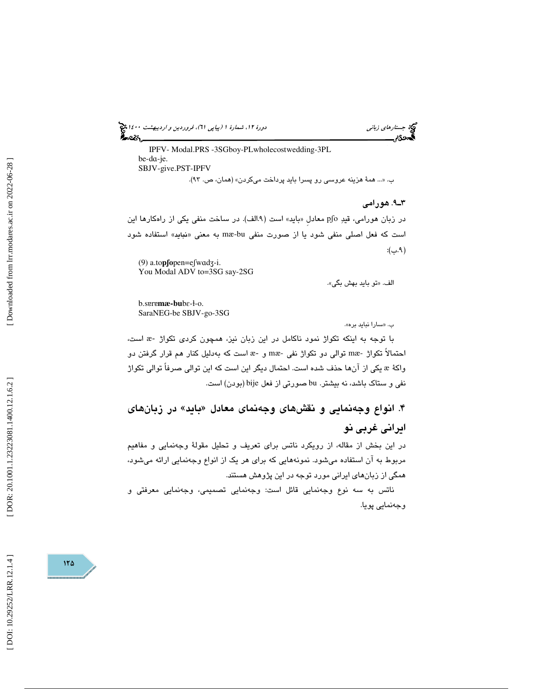(پياپي 61)، فروردين و ارديبهشت 1400 جستارهاي زباني دورة ،12 شمارة 1

 IPFV- Modal.PRS -3SGboy-PLwholecost wedding-3PL be-d ɑ-je. SBJV-give.PST-IPFV ب. «... همهٔ هزينه عروسي رو پسرا بايد پرداخت ميكردن» (همان، ص. ٩٣).

9ـ3 . هورامي

در زبان هورامي، قيدِ pʃo معادل «بايد» است (۹.الف). در ساخت منفي يكي از راهكارها اين است كه فعل اصلي منفي شود يا از صورت منفي mæ-bu به معني «نبايد» استفاده شود 9( .ب):

(9) a.to **p**ʃ**o**pen=eʃw ɑ d ʒ-i. You Modal ADV to=3SG say-2SG

تو بايد بهش بگي ». الف. «

b.s**eremæ-bu**bε-ł-o. SaraNEG-be SBJV-go-3SG

سارا نبايد بره». ب. «

با توجه به اينكه تكواژ نمود ناكامل در اين زبان نيز، همچون كردى تكواژ -& است، است كه بهدليل كنار هم قرار گرفتن دو æ احتمالاً تكواژ -mæ توالي دو تكواژ نفي -mæ و , يكي از آنها حذف شده است. احتمال ديگر اين است كه اين توالي صرفاً توالي تكواژ واكة æ نفي و ستاك باشد، نه بيشتر. bu صورتي از فعل bije) بودن) است.

۴. آنواع وجەنمايى و نقشھاى وجەنماى معادل «بايد» در زبانھا*ى* ايراني غربي نو

در اين بخش از مقاله، از رويكرد ناتس براي تعريف و تحليل مقولة وجهنمايي و مفاهيم مربوط به آن استفاده مي شود. نمونههايي كه براي هر يک از انواع وجهنمايي ارائه مي شود، همگي از زبانهاي ايراني مورد توجه در اين پژوهش هستند.

ناتس به سه نوع وجهنمايي قائل است: وجهنمايي تصميمي، وجهنمايي معرفتي و وجهنمايي پويا.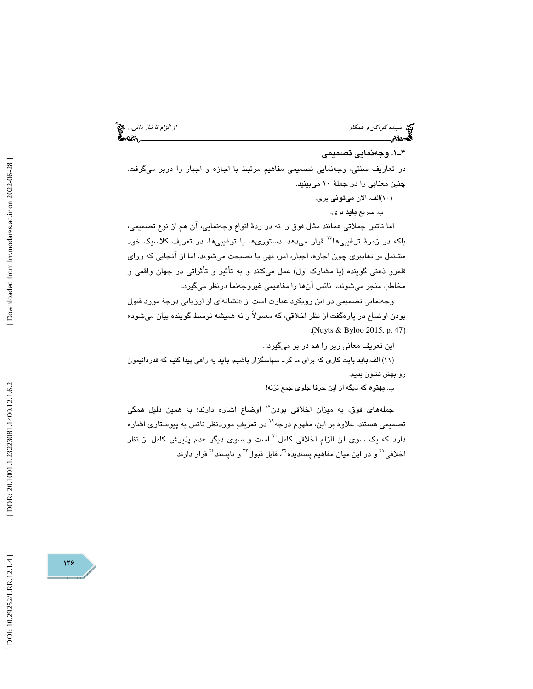سپيده *كوهكن و همكار از اردا تا نياز ذاتي...*. چ<mark>خ</mark><br>ال**سمان از الزام تا نياز ذاتي... چخ**<br>ا**لسمان از الزام تاريخ الزام تاريخ الزام تاريخ الزام تاريخ الزام تاريخ الزام تاريخ الزام تاريخ الزام تاريخ الزام** 

### . 1ـ4 وجهنمايي تصميمي

در تعاريف سنتي، وجهنمايي تصميمي مفاهيم مرتبط با اجازه و اجبار را دربر ميگرفت. چنين معنايي را در جملة 10 ميبينيد.

)10 الف. الان ميتوني بري. )

ب. سريع **بايد** بري.

ما ناتس جملاتي همانند مثال فوق را نه در ردة انواع وجهنمايي، آن هم از نوع تصميمي، ا بلكه در زمرهٔ ترغیبی۱<sup>۷</sup> قرار میدهد. دستوریها یا ترغیبیها، در تعریف كلاسیک خود مشتمل بر تعابيري چون اجازه، اجبار، امر، نهي يا نصيحت ميشوند. اما از آنجايي كه وراي قلمرو ذهني گوينده (يا مشارك اول) عمل ميكنند و به تأثير و تأثراتي در جهان واقعي و مخاطب منجر ميشوند، ناتس آنها را مفاهيمي غيروجهنما درنظر ميگيرد.

وجهنمايي تصميمي در اين رويكرد عبارت است از «نشانهای از ارزيابي درجهٔ مورد قبول بودن اوضاع در پارهگفت از نظر اخلاقي، كه معمولاً و نه هميشه توسط گوينده بيان ميشود» .( Nuyts & Byloo 2015, p. 47 )

اين تعريف معاني زير را هم در بر ميگيرد.:

11) الف.بايد بابت كاري كه براي ما كرد سپاسگزار باشيم، بايد يه راهي پيدا كنيم كه قدردانيمون ) رو بهش نشون بديم.

ب. بهتره كه ديگه از اين حرفا جلوي جمع نزنه!

جملههای فوق، به میزان اخلاقی بودن<sup>۱۸</sup> اوضاع اشاره دارند؛ به همین دلیل همگی تصميمي هستند. علاوه بر اين، مفهوم درجه<sup>\\</sup> در تعريفِ موردنظر ناتس به پيوستاري اشاره دارد كه يک سوي آن الزام اخلاقي كامل <sup>۲۰</sup> است و سوي ديگر عدم پذيرش كامل از نظر اخلاقی<sup>۲۱</sup> و در این میان مفاهیم پسندیده<sup>۲۲</sup>، قابل قبول<sup>۲۲</sup> و ناپسند<sup>۲۶</sup> قرار دارند.

[Downloaded from lrr.modares.ac.ir on 2022-06-28]

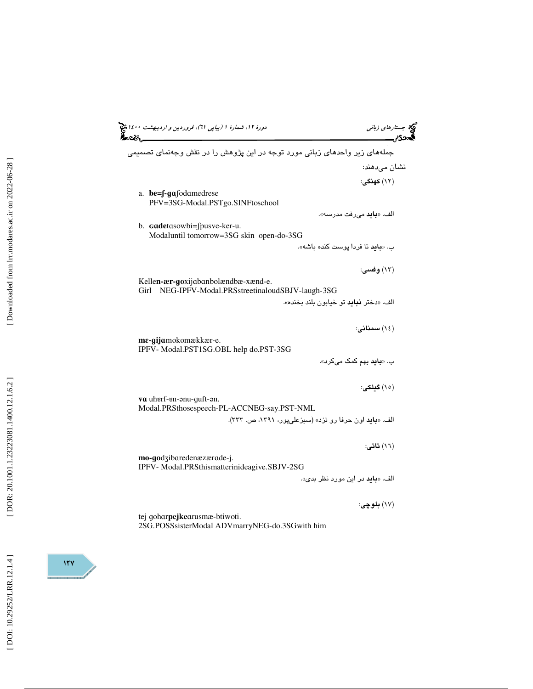| دورهٔ ۱۲، شمارهٔ ۱ (پیاپی ۳۱)، فروردین و اردیبهشت ۱۶۰۰ هج<br>∞વ્&∖                           | جستارهای زبانی<br>دی,                     |
|----------------------------------------------------------------------------------------------|-------------------------------------------|
| جملههای زیر واحدهای زبانی مورد توجه در این پژوهش را در نقش وجهنمای تصمیمی                    |                                           |
|                                                                                              | نشان می،دهند:                             |
|                                                                                              | (١٢) كهنگي:                               |
| a. $be = \int -g\alpha$ fod amedrese<br>PFV=3SG-Modal.PSTgo.SINFtoschool                     |                                           |
|                                                                                              | الف. « <b>بايد</b> مىرفت مدرسه».          |
| b. Gadetasowbi=fpusve-ker-u.<br>Modaluntil tomorrow=3SG skin open-do-3SG                     |                                           |
|                                                                                              | ب. « <b>بايد</b> تا فردا پوست كنده باشه». |
|                                                                                              | (١٣) وفسي:                                |
| Kellen-ær-goxijabanbolændbæ-xænd-e.<br>NEG-IPFV-Modal.PRSstreetinaloudSBJV-laugh-3SG<br>Girl |                                           |
|                                                                                              | الف. «دختر نبايد تو خيابون بلند بخنده».   |
|                                                                                              | (١٤) سمناني:                              |
| me-gijamokomækkær-e.<br>IPFV- Modal.PST1SG.OBL help do.PST-3SG                               |                                           |
|                                                                                              | ب. « <b>باید</b> بهم کمک میکرد».          |
|                                                                                              | (١٥) گىلكى:                               |
| va uherf-en-anu-guft-an.<br>Modal.PRSthosespeech-PL-ACCNEG-say.PST-NML                       |                                           |
| الف. «بايد اون حرفا رو نزد» (سبزعلى پور، ١٣٩١، ص. ٣٣٣).                                      |                                           |
|                                                                                              | (١٦) تاتي:                                |
| mo-godzibaredenæzærade-j.                                                                    |                                           |
| IPFV- Modal.PRSthismatterinideagive.SBJV-2SG                                                 | الف. «بايد در اين مورد نظر بدى».          |
|                                                                                              |                                           |
|                                                                                              | (۱۷) بلوچي:                               |
| tej goharpejkearusmæ-btiwoti.<br>2SG.POSSsisterModal ADVmarryNEG-do.3SGwith him              |                                           |
|                                                                                              |                                           |

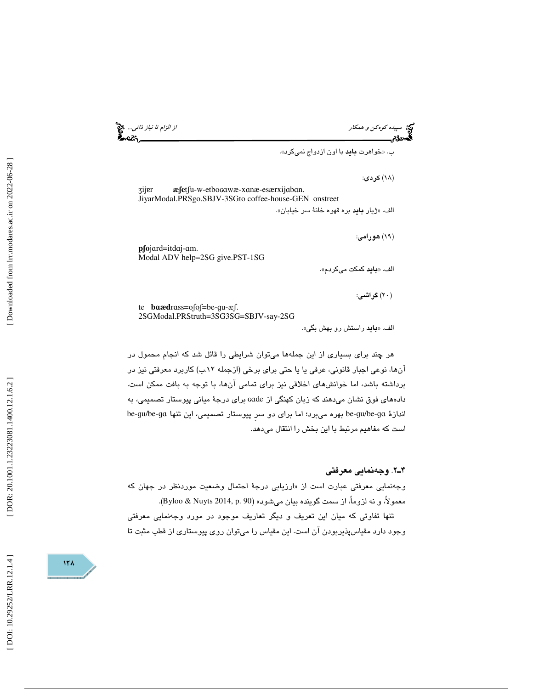سپيده كوهكن و همكار از الزام تا نياز ذاتي...

ب. «خواهرت **بايد** با اون ازدواج نميكرد».

(١٨) كردى:

ʒij ɐr æfetfu-w-etbo cawæ-xanæ-esærxijaban. JiyarModal.PRSgo.SBJV-3SGto coffee-house-GEN onstreet الف. «ژيار **بايد** بره قهوه خانهٔ سر خيابان».

**p∫o**jard=itdaj-am. Modal ADV help=2SG give.PST-1SG

۰eis

الف. «**بايد** كمكت مىكردم».

( ) 20 گراشي:

(١٩) هورامي:

te **b** ɑ**æd** r ɑss=oʃoʃ=be-ɡu-æʃ. 2SG Modal.PRStruth=3SG3SG=SBJV-say-2SG

الف. «**باید** راستش رو بهش بگی».

هر چند براي بسياري از اين جملهها ميتوان شرايطي را قائل شد كه انجام محمول در آنها، نوعي اجبار قانوني، عرفي يا يا حتي براي برخي (ازجمله .12ب) كاربرد معرفتي نيز در برداشته باشد، اما خوانشهاي اخلاقي نيز براي تمامي آنها، با توجه به بافت ممكن است. دادههاي فوق نشان ميدهند كه زبان كهنگي از ɢɑde براي درجة مياني پيوستار تصميمي، به اندازهٔ be-gu/be-ga بهره میبرد؛ اما برای دو سر پیوستار تصمیمی، این تنها be-gu/be-ga است كه مفاهيم مرتبط با اين بخش را انتقال ميدهد.

#### 2ـ4 . وجهنمايي معرفتي

وجهنمايي معرفتي عبارت است از «ارزيابي درجهٔ احتمال وضعيت موردنظر در جهان كه معمولاً، و نه لزوماً، از سمت گوينده بيان ميشود» (Byloo & Nuyts 2014, p. 90). تنها تفاوتي كه ميان اين تعريف و ديگر تعاريف موجود در مورد وجهنمايي معرفتي وجود دارد مقياسپذيربودن آن است. اين مقياس را ميتوان روي پيوستاري از قطب مثبت تا

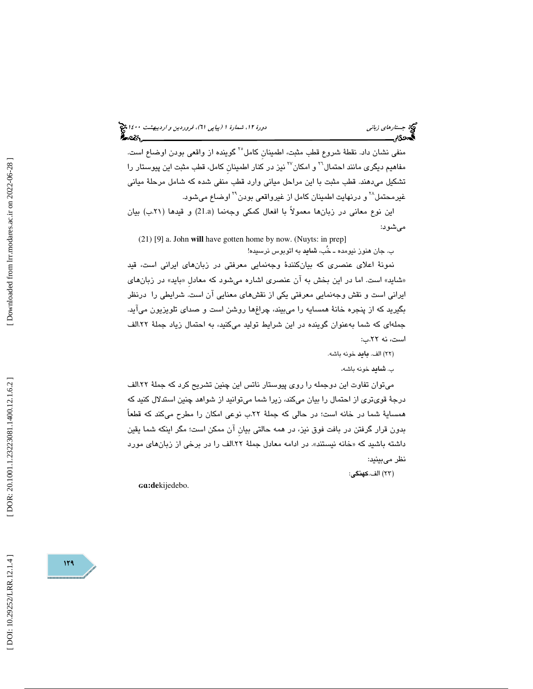# (پياپي 61)، فروردين و ارديبهشت 1400 جستارهاي زباني دورة ،12 شمارة 1

منفي نشان داد. نقطهٔ شروع قطب مثبت، اطمينان كامل°<sup>۲</sup> گوينده از واقعي بودن اوضاع است. مفاهيم ديگری مانند احتمال<sup>۲۰</sup> و امکان<sup>۲۷</sup> نيز در کنار اطمينانِ کامل، قطب مثبت اين پيوستار را تشكيل ميدهند. قطب مثبت با اين مراحل مياني وارد قطب منفي شده كه شامل مرحلة مياني غیرمحتمل<sup>۲۸</sup> و درنهایت اطمینان کامل از غیرواقعی بودن<sup>۲۹</sup> اوضاع میشود.

اين نوع معاني در زبانها معمولاً با افعال كمكي وجهنما (a21. (و قيدها (.21ب) بيان ميشود:

(21) [9] a. John **will** have gotten home by now. (Nuyts: in prep] ب. جان هنوز نيومده ـ خُب، شايد به اتوبوس نرسيده!

نمونة اعلاي عنصري كه بيانكنندة وجهنمايي معرفتي در زبانهاي ايراني است، قيد «شايد» است. اما در اين بخش به ان عنصري اشاره ميشود كه معادل «بايد» در زبانهاي ايراني است و نقش وجهنمايي معرفتي يكي از نقشهاي معنايي آن است. شرايطي را درنظر بگيريد كه از پنجره خانة همسايه را ميبيند، چراغها روشن است و صداي تلويزيون ميآيد. جملهاي كه شما بهعنوان گوينده در اين شرايط توليد ميكنيد، به احتمال زياد جملة .22الف است، نه .22ب:

(٢٢) الف. **بايد** خونه باشه.

ب. **شايد** خونه باشه.

 ميتوان تفاوت اين دوجمله را روي پيوستار ناتس اين چنين تشريح كرد كه جملة .22الف درجة قويتري از احتمال را بيان ميكند، زيرا شما ميتوانيد از شواهد چنين استدلال كنيد كه همساية شما در خانه است؛ در حالي كه جملة .22ب نوعي امكان را مطرح ميكند كه قطعاً بدون قرار گرفتن در بافت فوق نيز، در همه حالتي بيانِ آن ممكن است؛ مگر اينكه شما يقين داشته باشید که «خانه نیستند». در ادامه معادل جملهٔ ۲۲.الف را در برخی از زبانهای مورد نظر ميبينيد:

23) الف. كهنگي: )

ɢɑ**:de** kijedebo.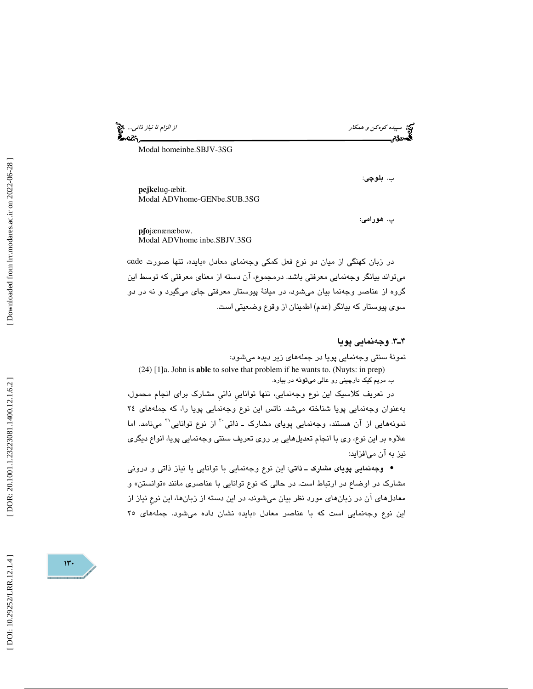سپيده كوهكن و همكار از الزام تا نياز ذاتي... ન્ટડ

Modal homeinbe.SBJV-3SG

ب. بلوچي:

**pejke**lug-æbit. Modal ADVhome-GENbe.SUB.3SG

پ. هورامي:

**p**ʃ**o** jænænæbow. Modal ADVhome inbe.SBJV.3SG

در زبان كهنگي از ميان دو نوع فعل كمكي وجهنماي معادل «بايد»، تنها صورت Gade ميتواند بيانگر وجهنمايي معرفتي باشد. درمجموع، آن دسته از معناي معرفتي كه توسط اين گروه از عناصر وجهنما بيان ميشود، در ميانة پيوستار معرفتي جاي ميگيرد و نه در دو سوي پيوستار كه بيانگر (عدم) اطمينان از وقوع وضعيتي است.

3ـ4 . وجهنمايي پويا

نمونة سنتي وجهنمايي پويا در جملههاي زير ديده ميشود: (24) [1]a. John is **able** to solve that problem if he wants to. (Nuyts: in prep) ب. مريم كيك دارچيني رو عالي ميتونه در بياره.

در تعريف كلاسيك اين نوع وجهنمايي، تنها تواناييِ ذاتيِ مشارك براي انجام محمول، بهعنوان وجهنمايي پويا شناخته ميشد. ناتس اين نوع وجهنمايي پويا را، كه جملههاي 24 نمونههايي از آن هستند، وجهنمايي پوياي مشارک ــ ذاتي <sup>۲۰</sup> از نوع توانايي <sup>۳۱</sup> مينامد. اما علاوه بر اين نوع، وي با انجام تعديلهايي بر روي تعريف سنتي وجهنمايي پويا، انواع ديگري نيز به آن ميافزايد:

وجهنمايي پوياي مشارك ـ ذاتي: اين نوع وجهنمايي با توانايي يا نياز ذاتي و دروني • مشارک در اوضاع در ارتباط است. در حالی که نوع توانایی با عناصری مانند «توانستن» و معادلهاي آن در زبانهاي مورد نظر بيان ميشوند، در اين دسته از زبانها، اين نوع نياز از اين نوع وجهنمايي است كه با عناصر معادل «بايد» نشان داده مي،شود. جملههاي ۲۵

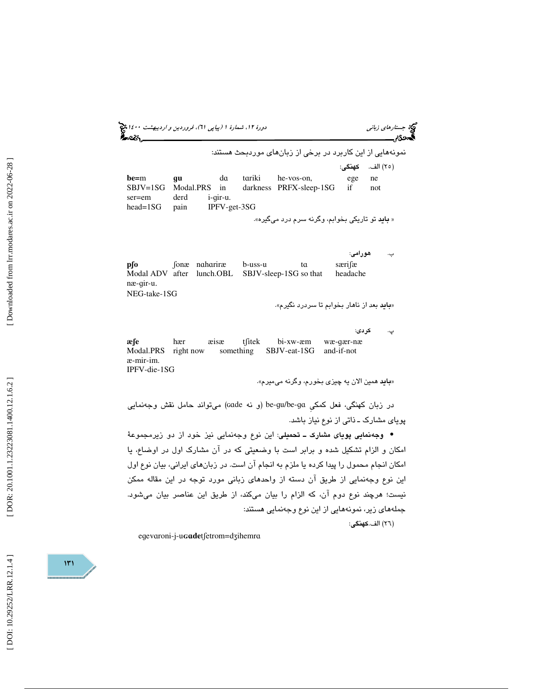(پياپي 61)، فروردين و ارديبهشت 1400 جستارهاي زباني دورة ،12 شمارة 1 نمونههايي از اين كاربرد در برخي از زبانهاي موردبحث هستند: 25) الف. كهنگي: ) **be=**m ɡ**u** d da tariki he-vos-on, ege ne SBJV=1SG Modal.PRS in darkness PRFX-sleep-1SG if not ser=em derd i-qir-u. head=1SG pain IPFV-get-3SG « **باید** تو تاریکی بخوابم، وگرنه سرم درد میگیره». ب. هورامي: **p**ʃ**o**  ʃonæ n ɑ h b-uss-u ta særifæ Modal ADV after lunch.OBL SBJV-sleep-1SG so that headache næ-ɡir-u - NEG-take-1SG «**باید** بعد از ناهار بخوابم تا سردرد نگیرم». پ. كردي: **æfe** hær æisæ t fitek bi-xw-æm ɡær-næ Modal.PRS right now something SBJV-eat-1SG and-if-not æ-mir-im. IPFV-die-1SG «**باید** همین الان یه چیز*ی* بخورم، وگرنه میمیرم».

در زبان كهنگي، فعل كمكي be-gu/be-ga (و نه çade) ميتواند حامل نقش وجهنمايي پوياي مشارك ـ ذاتي از نوع نياز باشد.

وجهنمايي پوياي مشارك ـ تحميلي: اين نوع وجهنمايي نيز خود از دو زيرمجموعة • امكان و الزام تشكيل شده و برابر است با وضعيتي كه در ان مشارك اول در اوضاع، يا امكان انجام محمول را پيدا كرده يا ملزم به انجام آن است. در زبانهاي ايراني، بيان نوع اول اين نوع وجهنمايي از طريق آن دسته از واحدهاي زباني مورد توجه در اين مقاله ممكن نيست؛ هرچند نوع دوم آن، كه الزام را بيان ميكند، از طريق اين عناصر بيان ميشود. جملههاي زير، نمونههايي از اين نوع وجهنمايي هستند:

(٢٦) الف.كهنگى:

egevaroni-j-u**Gade**tfetrom=dzihemra

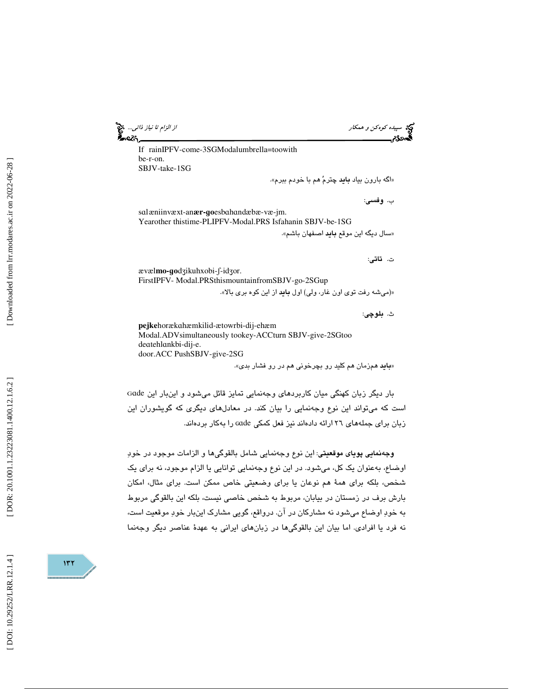**.2** 

سپيده كوهكن و همكار از الزام تا نياز ذاتي...

If rainIPFV-come-3SGModalumbrella=toowith be-r-on. SBJV-take-1SG

«اگه بارون بياد **بايد** چترمُ هم با خودم ببرم».

ب. وفسي :

sal æniinvæxt-an**ær-go**esbahandæbæ-væ-jm. Yearother thistime-PLIPFV-Modal.PRS Isfahanin SBJV-be-1SG «سال ديگه اين موقع **بايد** اصفهان باشم».

ت. تاتي:

ævæl**mo-go**dzikuhxobi-f-idzor. FirstIPFV- Modal.PRSthismountainfromSBJV-go-2SGup

«( ميشه رفت توي اون غار، ولي) اول بايد از اين كوه بري بالا ».

ث. بلوچي:

**pejke** horæk ɑhæmkilid-ætowrbi-dij-ehæm Modal.ADVsimultaneously tookey-ACC turn SBJV-give-2SGtoo deatehlankbi-dij-e. door.ACC PushSBJV-give-2SG

«**باید** همزمان هم کلید رو بچرخونی هم در رو فشار بدی».

ã بار ديگر زبان كهنگي ميان كاربردهاي وجهنمايي تمايز قائل ميشود و اينبار اين ɑde است كه ميتواند اين نوع وجهنمايي را بيان كند. در معادلهاي ديگري كه گويشوران اين زبان برای جملههای ۲۲ ارائه دادهاند نیز فعل کمکی cade را بهکار بردهاند.

وجهنمايي پوياي موقعيتي: اين نوع وجهنمايي شامل بالقو گيها و الزامات موجود در خود اوضاع، بهعنوان يك كل، ميشود. در اين نوع وجهنمايي توانايي يا الزام موجود، نه براي يك شخص، بلكه براي همة هم نوعان يا براي وضعيتي خاص ممكن است. براي مثال، امكان بارش برف در زمستان در بيابان، مربوط به شخص خاصي نيست، بلكه اين بالقوگي مربوط به خود اوضاع ميشود نه مشاركان در آن. درواقع، گويي مشارك اينبار خود موقعيت است، نه فرد يا افرادي. اما بيان اين بالقو گيها در زبانهاي ايراني به عهدة عناصر ديگر وجهنما

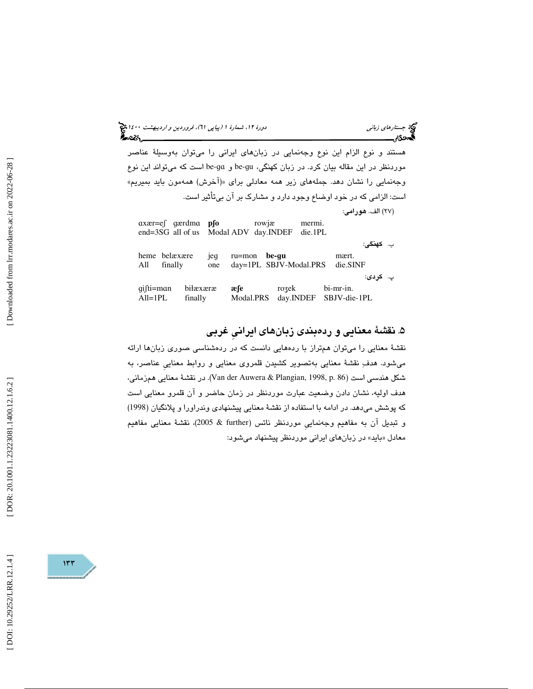(پياپي 61)، فروردين و ارديبهشت 1400 جستارهاي زباني دورة ،12 شمارة 1

هستند و نوع الزام اين نوع وجهنمايي در زبانهاي ايراني را ميتوان بهوسيلة عناصر موردنظر در این مقاله بیان کرد. در زبان کهنگی، be-gu و be-ga است که میتواند این نوع وجهنمايي را نشان دهد. جملههاي زير همه معادلي براي «(آخرش) همهمون بايد بميريم» ست: الزامي كه در خود اوضاع وجود دارد و مشارك بر آن بيتأثير است. ا

27) الف. هورامي: ) ɑxær=eʃ ɡærdm ɑ **p**ʃ**o** rowjæ mermi. end=3SG all of us Modal ADV day.INDEF die.1PL ب. كهنگي: heme belæxære je ɡ ru=mon **be-**ɡ **u** mært. All finally one day=1PL SBJV-Modal.PRS die.SINF پ. كردي: ɡ iʃti=m ɑn bi ɫæxæræ **æ**ʃ**e** ro bi-mr-in. All=1PL finally Modal.PRS day.INDEF SBJV-die-1PL

## .5 نقشة معنايي و ردهبندي زبان هاي ايرانيِ غربي

نقشهٔ معنایی را میتوان همتراز با ردههایی دانست كه در ردهشناسی صوری زبانها ارائه ميشود. هدف نقشة معنايي بهتصوير كشيدن قلمروي معنايي و روابط معناييِ عناصر، به شكل هندسي است (86 .p 1998, ,Plangian & Auwera der Van(. در نقشة معنايي همزماني، هدف اوليه، نشان دادن وضعيت عبارت موردنظر در زمان حاضر و آن قلمرو معنايي است كه پوشش ميدهد. در ادامه با استفاده از نقشة معنايي پيشنهادي وندراورا و پلانگيان (1998) و تبديل آن به مفاهيم وجهنماييِ موردنظر ناتس (further & 2005(، نقشة معنايي مفاهيم معادل «بايد» در زبانهاي ايراني موردنظر پيشنهاد ميشود:

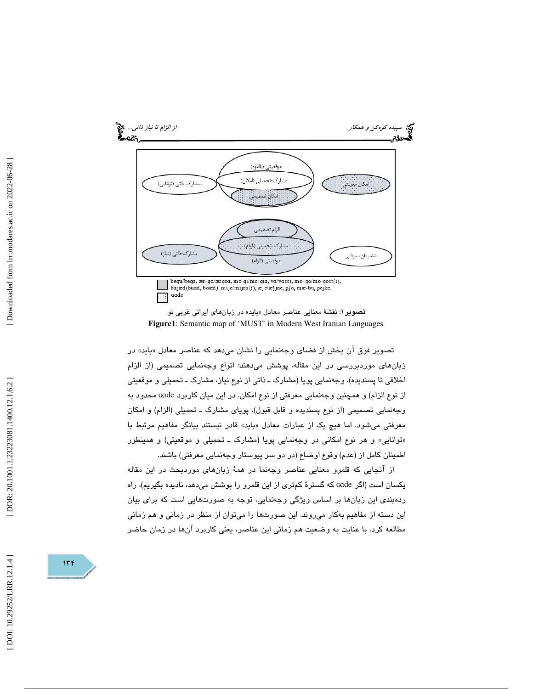

**تصوير ۱**: نقشهٔ معنايي عناصر معادل «بايد» در زبانهاي ايراني غربي نو **Figure1**: Semantic map of 'MUST' in Modern West Iranian Languages

تصوير فوق ان بخش از فضاى وجهنمايي را نشان مىدهد كه عناصر معادل «بايد» در زبانهاي موردبررسي در اين مقاله، پوشش ميدهند: انواع وجهنمايي تصميمي (از الزام اخلاقي تا پسنديده)، وجهنمايي پويا (مشارك ـ ذاتي از نوع نياز، مشارك ـ تحميلي و موقعيتي از نوع الزام) و همچنين وجهنمايي معرفتي از نوع امكان. در اين ميان كاربرد ɢɑde محدود به وجهنمايي تصميمي (از نوع پسنديده و قابل قبول)، پوياي مشارك ـ تحميلي (الزام) و امكان معرفتي ميشود. اما هيچ يک از عبارات معادل «بايد» قادر نيستند بيانگر مفاهيم مرتبط با توانايي» و هر نوع امكاني در وجهنمايي پويا (مشارك ـ تحميلي و موقعيتي) و همينطور » اطمينان كامل از (عدم) وقوع اوضاع (در دو سر پيوستار وجهنمايي معرفتي) باشند.

از آنجايي كه قلمرو معنايي عناصر وجهنما در همة زبانهاي موردبحث در اين مقاله يكسان است (اگر ɢɑde كه گسترة كمتري از اين قلمرو را پوشش ميدهد، ناديده بگيريم)، راه ردهبندي اين زبانها بر اساس ويژگي وجهنمايي، توجه به صورتهايي است كه براي بيان اين دسته از مفاهيم بهكار ميروند. اين صورتها را ميتوان از منظر در زماني و هم زماني مطالعه كرد. با عنايت به وضعيت هم زماني اين عناصر، يعني كاربرد آنها در زمان حاضر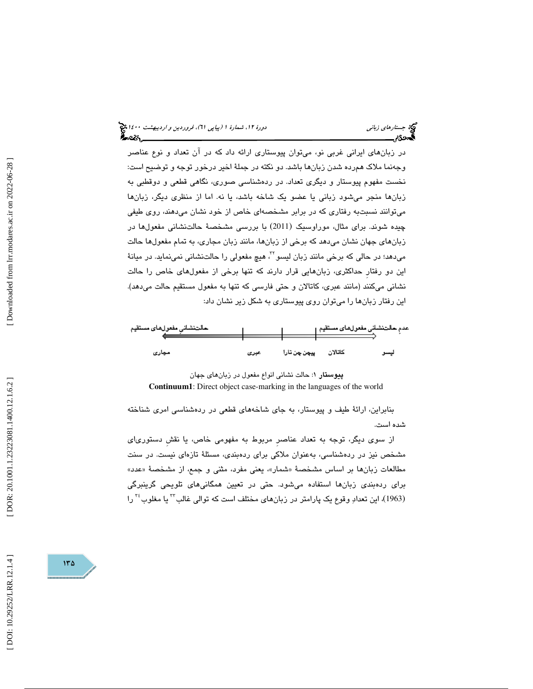# (پياپي 61)، فروردين و ارديبهشت 1400 جستارهاي زباني دورة ،12 شمارة 1

در زبانهاي ايراني غربي نو، ميتوان پيوستاري ارائه داد كه در آن تعداد و نوع عناصر وجه نما ملاك همرده شدن زبانها باشد. دو نكته در جملة اخير درخور توجه و توضيح است: نخست مفهوم پيوستار و ديگري تعداد. در ردهشناسي صوري، نگاهي قطعي و دوقطبي به زبانها منجر ميشود زباني يا عضو يك شاخه باشد، يا نه. اما از منظري ديگر، زبا نها ميتوانند نسبتبه رفتاري كه در برابر مشخصهاي خاص از خود نشان ميدهند، روي طيفي چیده شوند. برای مثال، موراوسیک (2011) با بررسی مشخصهٔ حالتنشانی مفعولها در زبانهاي جهان نشان ميدهد كه برخي از زبانها، مانند زبان مجاري، به تمام مفعولها حالت میدهد؛ در حالی که برخی مانند زبان لیسو™، هیچ مفعولی را حالتنشانی نمینماید. در میانهٔ اين دو رفتارِ حداكثري، زبانهايي قرار دارند كه تنها برخي از مفعولهاي خاص را حالت نشاني ميكنند (مانند عبري، كاتالان و حتي فارسي كه تنها به مفعول مستقيم حالت ميدهد). اين رفتار ز بانها را ميتوان روي پيوستاري به شكل زير نشان داد:

| حالتنشانى مفعولهاى مستقيم |      |              | عدمِ حالتنشاني مفعولهاي مستقيم |       |
|---------------------------|------|--------------|--------------------------------|-------|
| مجارى                     | عبرى | پيچن چن تارا | كاتالان                        | لرسمو |

پيوستار 1: حالت نشاني انواع مفعول در زبانهاي جهان **Continuum1**: Direct object case-marking in the languages of the world

بنابراين، ارائة طيف و پيوستار، به جاي شاخههاي قطعي در ردهشناسي امري شناخته شده است.

از سوي ديگر، توجه به تعداد عناصرِ مربوط به مفهومي خاص، يا نقشِ دستورياي مشخص نيز در ردهشناسي، بهعنوان ملاكي براي ردهبندي، مسئلة تازهاي نيست. در سنت مطالعات زبانها بر اساس مشخصهٔ «شمار»، یعنی مفرد، مثنی و جمع، از مشخصهٔ «عدد» براي ردهبندي زبانها استفاده ميشود. حتي در تعيين همگانيهاي تلويحي گرينبرگي (1963)، این تعدادِ وقوع یک پارامتر در زبانهای مختلف است كه توالی غالب<sup>77</sup> یا مغلوب<sup>۳</sup> را

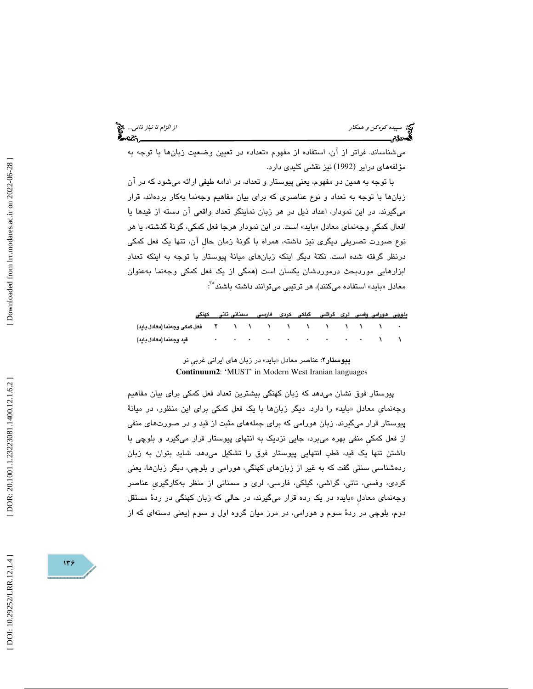میشناساند. فراتر از ان، استفاده از مفهوم «تعداد» در تعیین وضعیت زبانها با توجه به مؤلفههای درایر (1992) نیز نقشی کلیدی دارد.

با توجه به همين دو مفهوم، يعني پيوستار و تعداد، در ادامه طيفي ارائه ميشود كه در آن زبانها با توجه به تعداد و نوع عناصري كه براي بيان مفاهيم وجهنما به كار بردهاند، قرار ميگيرند. در اين نمودار، اعداد ذيل در هر زبان نماينگر تعداد واقعي آن دسته از قيدها يا افعال كمكي وجەنماي معادل «بايد» است. در اين نمودار هرجا فعل كمكي، گونۀ گذشته، يا هر نوع صورت تصريفي ديگري نيز داشته، همراه با گونة زمان حالِ آن، تنها يك فعل كمكي درنظر گرفته شده است. نكتة ديگر اينكه زبانهاي ميانة پيوستار با توجه به اينكه تعداد ابزارهايي موردبحث درموردشان يكسان است (همگي از يك فعل كمكي وجهنما به عنوان معادل «بايد» استفاده مىكنند)، هر ترتيبى مىتوانند داشته باشند<sup>6</sup> :

بلوچی هورامی وقسی لری گراشی گبلکی کردی فارسی اسمنائی تائی کهنگی

| قيد وجمعا (معادل بايد) |  |  |  |  |  |  |
|------------------------|--|--|--|--|--|--|

**پیوستار۲**: عناصر معادل «باید» در زبان *ه*ای ایرانی غربی نو **Continuum2**: 'MUST' in Modern West Iranian languages

پيوستار فوق نشان ميدهد كه زبان كهنگي بيشترين تعداد فعل كمكي براي بيان مفاهيم وجهنمای معادل «باید» را دارد. دیگر زبانها با یک فعل کمکی برای این منظور، در میانهٔ پيوستار قرار ميگيرند. زبان هورامي كه براي جملههاي مثبت از قيد و در صورتهاي منفي از فعل كمكيِ منفي بهره ميبرد، جايي نزديك به انتهاي پيوستار قرار ميگيرد و بلوچي با داشتن تنها يك قيد، قطب انتهايي پيوستار فوق را تشكيل ميدهد. شايد بتوان به زبان ردهشناسي سنتي گفت كه به غير از زبانهاي كهنگي، هورامي و بلوچي، ديگر زبانها، يعني كردي، وفسي، تاتي، گراشي، گيلكي، فارسي، لري و سمناني از منظر بهكارگيريِ عناصر وجهنمای معادل «باید» در یک رده قرار میگیرند، در حالی که زبان کهنگی در ردهٔ مستقل دوم، بلوچي در ردة سوم و هورامي، در مرز ميان گروه اول و سوم (يعني دستهاي كه از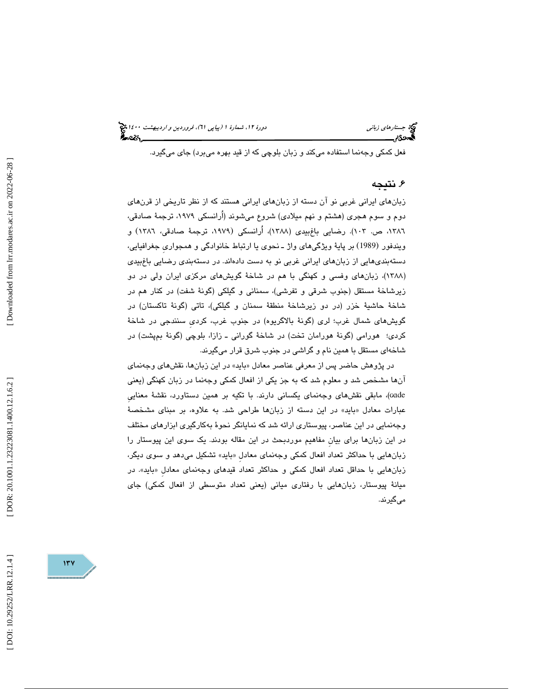فعل كمكي وجهنما استفاده ميكند و زبان بلوچي كه از قيد بهره ميبرد) جاي ميگيرد.

## . نتيجه 6

زبانهاي ايراني غربي نو آن دسته از زبانهاي ايراني هستند كه از نظر تاريخي از قرنهاي دوم و سوم هجري (هشتم و نهم ميلادي) شروع ميشوند (اُرانسكي ،1979 ترجمة صادقي، ١٣٨٦، ص. ١٠٣). رضايي باغِبيدي (١٣٨٨)، أرانسكي (١٩٧٩، ترجمهٔ صادقي، ١٣٨٦) و ويندفور (1989) بر پايهٔ ويژگيهای واژ ـ نحوی يا ارتباط خانوادگی و همجواری جغرافيايی، دستهبنديهايي از زبانهاي ايراني غربي نو به دست دادهاند. در دستهبندي رضايي باغبيدي (۱۳۸۸)، زبانهای وفسی و کهنگی با هم در شاخهٔ گویشهای مرکزی ایران ولی در دو زيرشاخة مستقل (جنوب شرقي و تفرشي)، سمناني و گيلكي (گونة شفت) در كنار هم در شاخة حاشية خزر (در دو زيرشاخة منطقة سمنان و گيلكي)، تاتي (گونة تاكستان) در گويشهاي شمال غرب؛ لري (گونة بالاگريوه) در جنوب غرب، كرديِ سنندجي در شاخة كردي؛ هورامي (گونة هورامان تخت) در شاخة گوراني ـ زازا، بلوچي (گونة بمپشت) در شاخهاي مستقل با همين نام و گراشي در جنوب شرق قرار ميگيرند.

در پژوهش حاضر پس از معرفي عناصر معادل «بايد» در اين زبانها، نقشهاي وجهنماي آنها مشخص شد و معلوم شد كه به جز يكي از افعال كمكي وجه نما در زبان كهنگي (يعني ɢɑde(، مابقي نقشهاي وجهنماي يكساني دارند. با تكيه بر همين دستاورد، نقشة معناييِ بايد» در اين دسته از زبانها طراحي شد. به علاوه، بر مبناي مشخصة عبارات معادل « وجهنمايي در اين عناصر، پيوستاري ارائه شد كه نمايانگر نحوة بهكارگيري ابزارهاي مختلف در اين زبانها براي بيانِ مفاهيم موردبحث در اين مقاله بودند. يك سوي اين پيوستار را زبانهايي با حداكثر تعداد افعال كمكي وجهنماي معادل «بايد» تشكيل ميدهد و سىوى ديگر، زبانهايي با حداقل تعداد افعال كمكي و حداكثر تعداد قيدهاي وجهنماي معادل «بايد». در ميانة پيوستار، زبانهايي با رفتاري مياني (يعني تعداد متوسطي از افعال كمكي) جاي ميگيرند.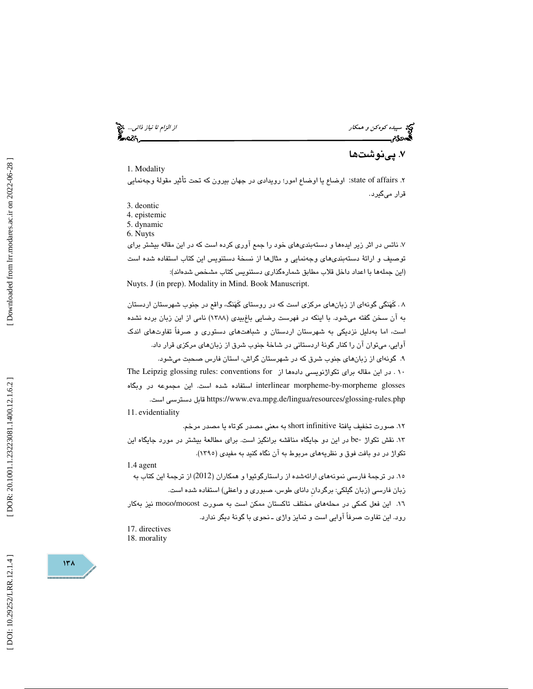سپيده *كوهكن و همكار از اختراج همكار از اختراج كوهكار از الزام تا نياز ذاتي...*<br>از الزام تا نياز ذاتي...<br>ال**ن دراستان الزام الزام الزام الزام الزام الزام الزام الزام الزام الزام الزام الزام الزام الزام الزام الزام ا**ل

۷. پینوشتها

#### 1. Modality

۲. state of affairs: اوضاع يا اوضاع امور؛ رويدادي در جهان بيرون كه تحت تأثير مقولةً وجهنمايي قرار ميگيرد.

3. deontic

4. epistemic

5. dynamic

6. Nuyts

. 7 ناتس در اثر زير ايدهها و دستهبنديهاي خود را جمع آوري كرده است كه در اين مقاله بيشتر براي توصيف و ارائة دستهبنديهاي وجهنمايي و مثالها از نسخة دستنويس اين كتاب استفاده شده است (اين جملهها با اعداد داخل قلاب مطابق شمارهگذاري دستنويس كتاب مشخص شدهاند): Nuyts. J (in prep). Modality in Mind. Book Manuscript.

 . كَهنگي گونهاي از زبانهاي مركزي است كه در روستاي كَهنگ، واقع در جنوب شهرستان اردستان 8 به آن سخن گفته ميشود. با اينكه در فهرست رضايي باغبيدي (1388) نامي از اين زبان برده نشده است، اما بهدليل نزديكي به شهرستان اردستان و شباهتهاي دستوري و صرفاً تفاوتهاي اندك آوايي، ميتوان آن را كنار گونة اردستاني در شاخة جنوب شرق از زبانهاي مركزي قرار داد. 9. گونهاي از زبانهاي جنوب شرق كه در شهرستان گراش، استان فارس صحبت ميشود. ١٠. در اين مقاله براي تكواژنويسي دادهها از The Leipzig glossing rules: conventions for glosses morpheme-by-morpheme interlinear استفاده شده است. اين مجموعه در وبگاه .است دسترسي قابل https://www.eva.mpg.de/lingua/resources/glossing-rules.php 11 . evidentiality . 12 صورت تخفيف يافتة infinitive short به معني مصدر كوتاه يا مصدر مرخم.

13 . نقش تكواژ -be در اين دو جايگاه مناقشه برانگيز است. براي مطالعة بيشتر در مورد جايگاه اين تكواژ در دو بافت فوق و نظريههاي مربوط به آن نگاه كنيد به مفيدي (1395 ).

1.4 agent

 15. در ترجمة فارسي نمونههاي ارائهشده از راستارگوئيوا و همكاران (2012) از ترجمة اين كتاب به زبان فارسي (زبان گيلكي: برگردانِ داناي طوس، صبوري و واعظي) استفاده شده است. ۰۱٦. این فعل کمکی در محلههای مختلف تاکستان ممکن است به صورت moco/mocost نیز بهکار رود. اين تفاوت صرفاً آوايي است و تمايز واژي ـ نحوي با گونة ديگر ندارد.

17. directives 18. morality

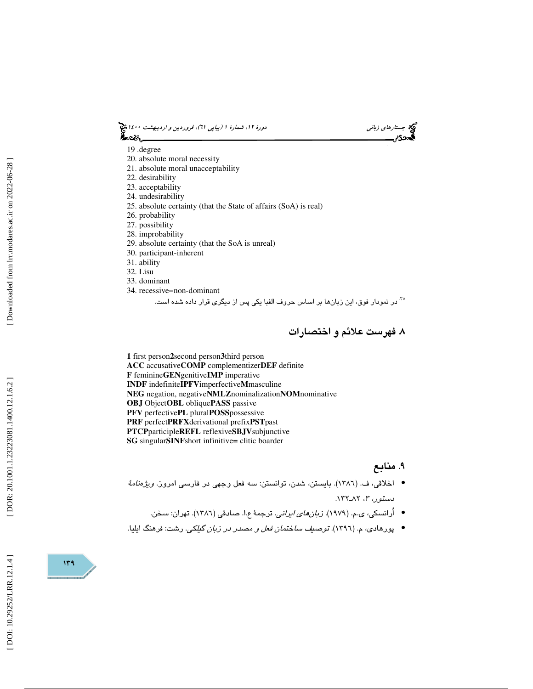# (پياپي 61)، فروردين و ارديبهشت 1400 جستارهاي زباني دورة ،12 شمارة 1



- 19 .degree
- 20. absolute moral necessity
- 21. absolute moral unacceptability
- 22. desirability
- 23. acceptability
- 24. undesirability
- 25. absolute certainty (that the State of affairs (SoA) is real)
- 26. probability
- 27. possibility
- 28. improbability
- 29. absolute certainty (that the SoA is unreal)
- 30. participant-inherent
- 31. ability
- 32. Lisu
- 33. dominant
- 34. recessive=non-dominant

<sup>76</sup> در نمودار فوق، اين زبانها بر اساس حروف الفبا يكي پس از ديگری قرار داده شده است.

. فهرست علائم و اختصارات 8

**1** first person **2**second person **3**third person **ACC** accusative**COMP** complementizer**DEF** definite **F** feminine**GEN**genitive**IMP** imperative **INDF** indefinite**IPFV**imperfective **M**masculine **NEG** negation, negative**NMLZ**nominalization**NOM**nominative **OBJ** Object**OBL** oblique**PASS** passive **PFV** perfective**PL** plural **POSS**possessive **PRF** perfect**PRFX**derivational prefix**PST**past **PTCP**participle**REFL** reflexive**SBJV**subjunctive **SG** singular**SINF**short infinitive **=** clitic boarder

## ۹. منابع

- اخلاقي، ف. (١٣٨٦). بايستن، شدن، توانستن: سه فعل وجهي در فارسي امروز. *ويژهنامهٔ* ر*سىتور، ٣،* ٨٢ـ١٣٢.
	- أُرانسكي، ي.م. (١٩٧٩). *زبان <i>هاي ايراني*. ترجمهٔ ع.ا. صادقي (١٣٨٦). تهران: سخن.
- پورهادي، م. (1396). توصيف ساختمان فعل و مصدر در زبان گيلكي. رشت: فرهنگ ايليا. •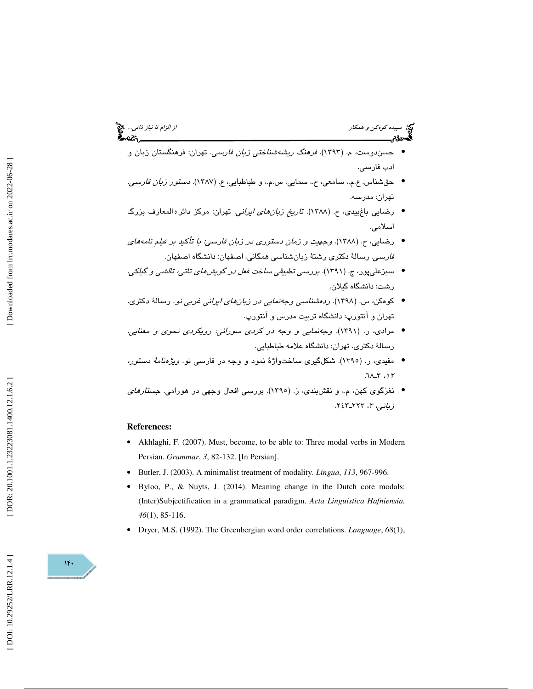- حسندوست، م. (1393). فرهنگ ريشهشناختي زبان فارسي. تهران: فرهنگستان زبان و ادب فارسي.
- حقشناس. ع.م.، سامعي، ح.، سمايي، س.م.، و طباطبايي، ع. (١٣٨٧). *دستور زبان فارسي.* تهران: مدرسه.
- رضایی باغ.بیدی، ح. (۱۳۸۸). ت*اریخ زبانهای ایرانی.* تهران: مرکز دائره المعارف بزرگ ا اسلامي.
- رضايي، ح. (1388). وجهيت و زمان دستوري در زبان فارسي: با تأكيد بر فيلم نامههاي فارسي. رسالة دكتري رشتة زبانشناسي همگاني. اصفهان: دانشگاه اصفهان.
- سبزعليپور، ج. (1391). بررسي تطبيقي ساخت فعل در گويشهاي تاتي، تالشي و گيلكي. رشت: دانشگاه گيلان.
- كوهكن، س. (1398). ردهشناسي وجهنمايي در زبانهاي ايراني غربي نو. رسالة دكتري. تهران و آنتورپ: دانشگاه تربيت مدرس و آنتورپ.
- مرادي، ر. (1391). وجهنمايي و وجه در كردي سوراني: رويكردي نحوي و معنايي. رسالة دكتري. تهران: دانشگاه علامه طباطبايي.
- مفيدي، ر. (1395). شكلگيري ساختواژة نمود و وجه در فارسي نو. ويژهنامة دستور،  $71 - 7.1$
- نغزگوي كهن، م،. و نقشبندي، ز. (1395). بررسي افعال وجهي در هورامي. جستارهاي زبانی، ۳، ۲۲۳ـ۲٤۲.

#### **References:**

- Akhlaghi, F. (2007). Must, become, to be able to: Three modal verbs in Modern Persian. *Grammar*, *3*, 82-132. [In Persian].
- Butler, J. (2003). A minimalist treatment of modality. *Lingua*, *113*, 967-996.
- Byloo, P., & Nuyts, J. (2014). Meaning change in the Dutch core modals: (Inter)Subjectification in a grammatical paradigm. *Acta Linguistica Hafniensia. 46*(1), 85-116.
- Dryer, M.S. (1992). The Greenbergian word order correlations. *Language*, *68*(1),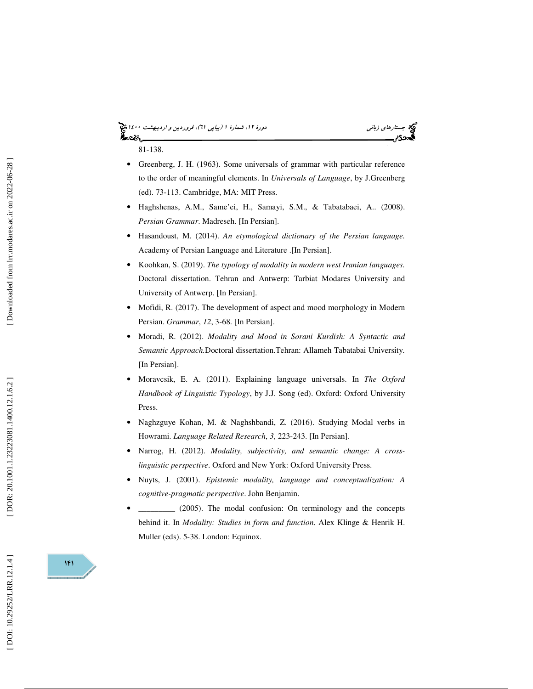# (پياپي 61)، فروردين و ارديبهشت 1400 جستارهاي زباني دورة ،12 شمارة 1

81-138.

- Greenberg, J. H. (1963). Some universals of grammar with particular reference to the order of meaningful elements. In *Universals of Language*, by J.Greenberg (ed). 73-113. Cambridge, MA: MIT Press.
- Haghshenas, A.M., Same'ei, H., Samayi, S.M., & Tabatabaei, A.. (2008). *Persian Grammar*. Madreseh. [In Persian].
- Hasandoust, M. (2014). *An etymological dictionary of the Persian language.* Academy of Persian Language and Literature .[In Persian].
- Koohkan, S. (2019). *The typology of modality in modern west Iranian languages.* Doctoral dissertation. Tehran and Antwerp: Tarbiat Modares University and University of Antwerp. [In Persian].
- Mofidi, R. (2017). The development of aspect and mood morphology in Modern Persian. *Grammar*, *12*, 3-68. [In Persian].
- Moradi, R. (2012). *Modality and Mood in Sorani Kurdish: A Syntactic and Semantic Approach.*Doctoral dissertation.Tehran: Allameh Tabatabai University*.*  [In Persian].
- Moravcsik, E. A. (2011). Explaining language universals. In *The Oxford Handbook of Linguistic Typology*, by J.J. Song (ed). Oxford: Oxford University Press.
- Naghzguye Kohan, M. & Naghshbandi, Z. (2016). Studying Modal verbs in Howrami. *Language Related Research* , *3*, 223-243. [In Persian].
- Narrog, H. (2012). *Modality, subjectivity, and semantic change: A crosslinguistic perspective*. Oxford and New York: Oxford University Press.
- Nuyts, J. (2001). *Epistemic modality, language and conceptualization: A cognitive-pragmatic perspective*. John Benjamin.
- \_\_\_\_\_\_\_\_\_ (2005). The modal confusion: On terminology and the concepts behind it. In *Modality: Studies in form and function*. Alex Klinge & Henrik H. Muller (eds). 5-38. London: Equinox.

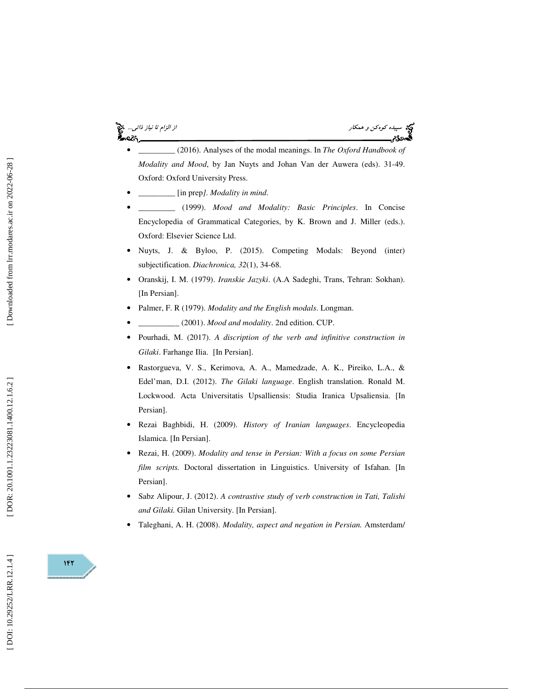# æs.

سپيده كوهكن و همكار از الزام تا نياز ذاتي...

- \_\_\_\_\_\_\_\_\_ (2016). Analyses of the modal meanings. In *The Oxford Handbook of Modality and Mood*, by Jan Nuyts and Johan Van der Auwera (eds). 31-49. Oxford: Oxford University Press.
- \_\_\_\_\_\_\_\_\_ [in prep*]. Modality in mind*.
- \_\_\_\_\_\_\_\_\_ (1999). *Mood and Modality: Basic Principles*. In Concise Encyclopedia of Grammatical Categories, by K. Brown and J. Miller (eds.). Oxford: Elsevier Science Ltd.
- Nuyts, J. & Byloo, P. (2015). Competing Modals: Beyond (inter) subjectification. *Diachronica, 32*(1), 34-68.
- Oranskij, I. M. (1979). *Iranskie Jazyki*. (A.A Sadeghi, Trans, Tehran: Sokhan). [In Persian].
- Palmer, F. R (1979). *Modality and the English modals*. Longman.
- \_\_\_\_\_\_\_\_\_\_ (2001). *Mood and modality*. 2nd edition. CUP.
- Pourhadi, M. (2017). *A discription of the verb and infinitive construction in Gilaki*. Farhange Ilia. [In Persian].
- Rastorgueva, V. S., Kerimova, A. A., Mamedzade, A. K., Pireiko, L.A., & Edel'man, D.I. (2012). *The Gilaki language*. English translation. Ronald M. Lockwood. Acta Universitatis Upsalliensis: Studia Iranica Upsaliensia. [In Persian].
- Rezai Baghbidi, H. (2009). *History of Iranian languages*. Encycleopedia Islamica. [In Persian].
- Rezai, H. (2009). *Modality and tense in Persian: With a focus on some Persian film scripts.* Doctoral dissertation in Linguistics. University of Isfahan. [In Persian].
- Sabz Alipour, J. (2012). *A contrastive study of verb construction in Tati, Talishi and Gilaki.* Gilan University. [In Persian].
- Taleghani, A. H. (2008). *Modality, aspect and negation in Persian.* Amsterdam/

DOI: 10.29252/LRR.12.1.4]